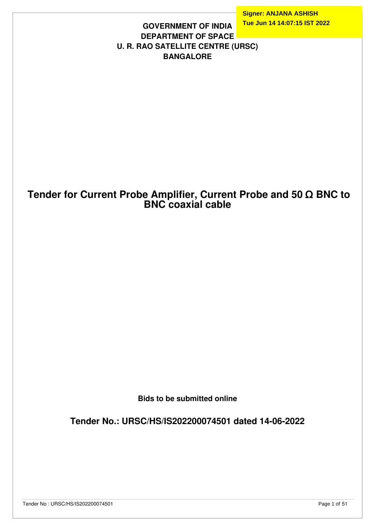**Signer: ANJANA ASHISH Tue Jun 14 14:07:15 IST 2022**

#### **GOVERNMENT OF INDIA DEPARTMENT OF SPACE U. R. RAO SATELLITE CENTRE (URSC) BANGALORE**

## **Tender for Current Probe Amplifier, Current Probe and 50 Ω BNC to BNC coaxial cable**

**Bids to be submitted online**

**Tender No.: URSC/HS/IS202200074501 dated 14-06-2022**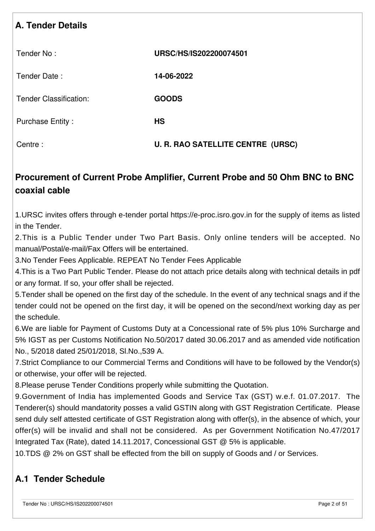# **A. Tender Details**

| Tender No:                    | URSC/HS/IS202200074501            |
|-------------------------------|-----------------------------------|
| Tender Date:                  | 14-06-2022                        |
| <b>Tender Classification:</b> | <b>GOODS</b>                      |
| <b>Purchase Entity:</b>       | <b>HS</b>                         |
| Centre:                       | U. R. RAO SATELLITE CENTRE (URSC) |

# **Procurement of Current Probe Amplifier, Current Probe and 50 Ohm BNC to BNC coaxial cable**

1.URSC invites offers through e-tender portal https://e-proc.isro.gov.in for the supply of items as listed in the Tender.

2.This is a Public Tender under Two Part Basis. Only online tenders will be accepted. No manual/Postal/e-mail/Fax Offers will be entertained.

3.No Tender Fees Applicable. REPEAT No Tender Fees Applicable

4.This is a Two Part Public Tender. Please do not attach price details along with technical details in pdf or any format. If so, your offer shall be rejected.

5.Tender shall be opened on the first day of the schedule. In the event of any technical snags and if the tender could not be opened on the first day, it will be opened on the second/next working day as per the schedule.

6.We are liable for Payment of Customs Duty at a Concessional rate of 5% plus 10% Surcharge and 5% IGST as per Customs Notification No.50/2017 dated 30.06.2017 and as amended vide notification No., 5/2018 dated 25/01/2018, Sl.No.,539 A.

7.Strict Compliance to our Commercial Terms and Conditions will have to be followed by the Vendor(s) or otherwise, your offer will be rejected.

8.Please peruse Tender Conditions properly while submitting the Quotation.

9.Government of India has implemented Goods and Service Tax (GST) w.e.f. 01.07.2017. The Tenderer(s) should mandatority posses a valid GSTIN along with GST Registration Certificate. Please send duly self attested certificate of GST Registration along with offer(s), in the absence of which, your offer(s) will be invalid and shall not be considered. As per Government Notification No.47/2017 Integrated Tax (Rate), dated 14.11.2017, Concessional GST @ 5% is applicable.

10.TDS @ 2% on GST shall be effected from the bill on supply of Goods and / or Services.

## **A.1 Tender Schedule**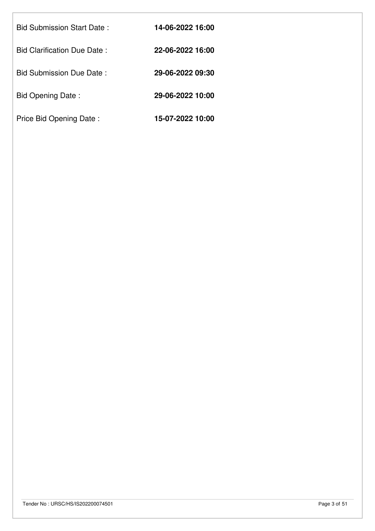| <b>Bid Submission Start Date:</b>  | 14-06-2022 16:00 |
|------------------------------------|------------------|
| <b>Bid Clarification Due Date:</b> | 22-06-2022 16:00 |
| Bid Submission Due Date:           | 29-06-2022 09:30 |
| Bid Opening Date:                  | 29-06-2022 10:00 |
| Price Bid Opening Date:            | 15-07-2022 10:00 |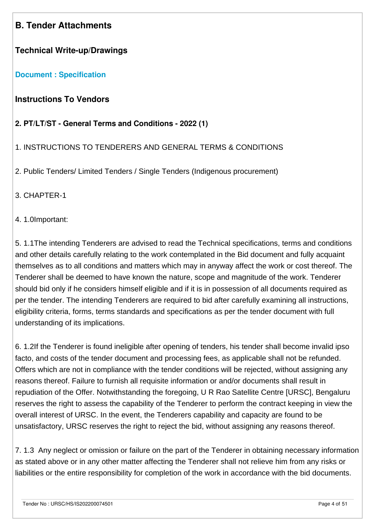## **B. Tender Attachments**

## **Technical Write-up/Drawings**

#### **[Document : Specification](https://eproc.isro.gov.in/common/viewDocument?id=ff808181809254d40180ad86610b1b3c&indentId=IS2022000745)**

## **Instructions To Vendors**

#### **2. PT/LT/ST - General Terms and Conditions - 2022 (1)**

#### 1. INSTRUCTIONS TO TENDERERS AND GENERAL TERMS & CONDITIONS

2. Public Tenders/ Limited Tenders / Single Tenders (Indigenous procurement)

3. CHAPTER-1

#### 4. 1.0Important:

5. 1.1The intending Tenderers are advised to read the Technical specifications, terms and conditions and other details carefully relating to the work contemplated in the Bid document and fully acquaint themselves as to all conditions and matters which may in anyway affect the work or cost thereof. The Tenderer shall be deemed to have known the nature, scope and magnitude of the work. Tenderer should bid only if he considers himself eligible and if it is in possession of all documents required as per the tender. The intending Tenderers are required to bid after carefully examining all instructions, eligibility criteria, forms, terms standards and specifications as per the tender document with full understanding of its implications.

6. 1.2If the Tenderer is found ineligible after opening of tenders, his tender shall become invalid ipso facto, and costs of the tender document and processing fees, as applicable shall not be refunded. Offers which are not in compliance with the tender conditions will be rejected, without assigning any reasons thereof. Failure to furnish all requisite information or and/or documents shall result in repudiation of the Offer. Notwithstanding the foregoing, U R Rao Satellite Centre [URSC], Bengaluru reserves the right to assess the capability of the Tenderer to perform the contract keeping in view the overall interest of URSC. In the event, the Tenderers capability and capacity are found to be unsatisfactory, URSC reserves the right to reject the bid, without assigning any reasons thereof.

7. 1.3 Any neglect or omission or failure on the part of the Tenderer in obtaining necessary information as stated above or in any other matter affecting the Tenderer shall not relieve him from any risks or liabilities or the entire responsibility for completion of the work in accordance with the bid documents.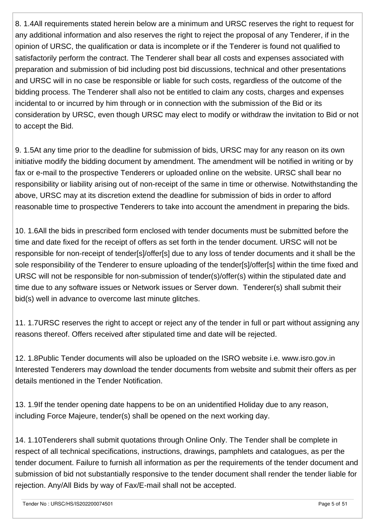8. 1.4All requirements stated herein below are a minimum and URSC reserves the right to request for any additional information and also reserves the right to reject the proposal of any Tenderer, if in the opinion of URSC, the qualification or data is incomplete or if the Tenderer is found not qualified to satisfactorily perform the contract. The Tenderer shall bear all costs and expenses associated with preparation and submission of bid including post bid discussions, technical and other presentations and URSC will in no case be responsible or liable for such costs, regardless of the outcome of the bidding process. The Tenderer shall also not be entitled to claim any costs, charges and expenses incidental to or incurred by him through or in connection with the submission of the Bid or its consideration by URSC, even though URSC may elect to modify or withdraw the invitation to Bid or not to accept the Bid.

9. 1.5At any time prior to the deadline for submission of bids, URSC may for any reason on its own initiative modify the bidding document by amendment. The amendment will be notified in writing or by fax or e-mail to the prospective Tenderers or uploaded online on the website. URSC shall bear no responsibility or liability arising out of non-receipt of the same in time or otherwise. Notwithstanding the above, URSC may at its discretion extend the deadline for submission of bids in order to afford reasonable time to prospective Tenderers to take into account the amendment in preparing the bids.

10. 1.6All the bids in prescribed form enclosed with tender documents must be submitted before the time and date fixed for the receipt of offers as set forth in the tender document. URSC will not be responsible for non-receipt of tender[s]/offer[s] due to any loss of tender documents and it shall be the sole responsibility of the Tenderer to ensure uploading of the tender[s]/offer[s] within the time fixed and URSC will not be responsible for non-submission of tender(s)/offer(s) within the stipulated date and time due to any software issues or Network issues or Server down. Tenderer(s) shall submit their bid(s) well in advance to overcome last minute glitches.

11. 1.7URSC reserves the right to accept or reject any of the tender in full or part without assigning any reasons thereof. Offers received after stipulated time and date will be rejected.

12. 1.8Public Tender documents will also be uploaded on the ISRO website i.e. www.isro.gov.in Interested Tenderers may download the tender documents from website and submit their offers as per details mentioned in the Tender Notification.

13. 1.9If the tender opening date happens to be on an unidentified Holiday due to any reason, including Force Majeure, tender(s) shall be opened on the next working day.

14. 1.10Tenderers shall submit quotations through Online Only. The Tender shall be complete in respect of all technical specifications, instructions, drawings, pamphlets and catalogues, as per the tender document. Failure to furnish all information as per the requirements of the tender document and submission of bid not substantially responsive to the tender document shall render the tender liable for rejection. Any/All Bids by way of Fax/E-mail shall not be accepted.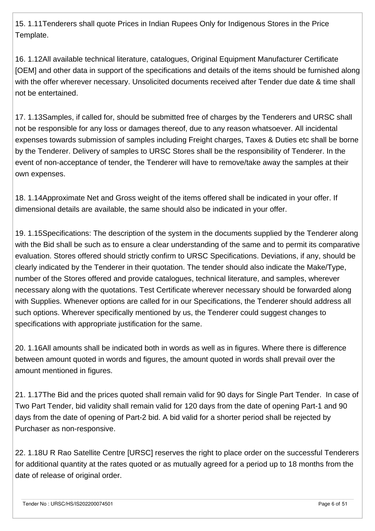15. 1.11Tenderers shall quote Prices in Indian Rupees Only for Indigenous Stores in the Price Template.

16. 1.12All available technical literature, catalogues, Original Equipment Manufacturer Certificate [OEM] and other data in support of the specifications and details of the items should be furnished along with the offer wherever necessary. Unsolicited documents received after Tender due date & time shall not be entertained.

17. 1.13Samples, if called for, should be submitted free of charges by the Tenderers and URSC shall not be responsible for any loss or damages thereof, due to any reason whatsoever. All incidental expenses towards submission of samples including Freight charges, Taxes & Duties etc shall be borne by the Tenderer. Delivery of samples to URSC Stores shall be the responsibility of Tenderer. In the event of non-acceptance of tender, the Tenderer will have to remove/take away the samples at their own expenses.

18. 1.14Approximate Net and Gross weight of the items offered shall be indicated in your offer. If dimensional details are available, the same should also be indicated in your offer.

19. 1.15Specifications: The description of the system in the documents supplied by the Tenderer along with the Bid shall be such as to ensure a clear understanding of the same and to permit its comparative evaluation. Stores offered should strictly confirm to URSC Specifications. Deviations, if any, should be clearly indicated by the Tenderer in their quotation. The tender should also indicate the Make/Type, number of the Stores offered and provide catalogues, technical literature, and samples, wherever necessary along with the quotations. Test Certificate wherever necessary should be forwarded along with Supplies. Whenever options are called for in our Specifications, the Tenderer should address all such options. Wherever specifically mentioned by us, the Tenderer could suggest changes to specifications with appropriate justification for the same.

20. 1.16All amounts shall be indicated both in words as well as in figures. Where there is difference between amount quoted in words and figures, the amount quoted in words shall prevail over the amount mentioned in figures.

21. 1.17The Bid and the prices quoted shall remain valid for 90 days for Single Part Tender. In case of Two Part Tender, bid validity shall remain valid for 120 days from the date of opening Part-1 and 90 days from the date of opening of Part-2 bid. A bid valid for a shorter period shall be rejected by Purchaser as non-responsive.

22. 1.18U R Rao Satellite Centre [URSC] reserves the right to place order on the successful Tenderers for additional quantity at the rates quoted or as mutually agreed for a period up to 18 months from the date of release of original order.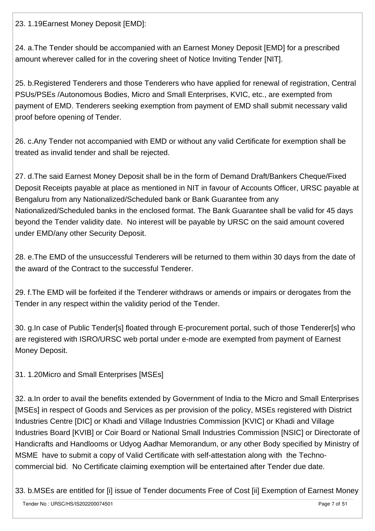23. 1.19Earnest Money Deposit [EMD]:

24. a.The Tender should be accompanied with an Earnest Money Deposit [EMD] for a prescribed amount wherever called for in the covering sheet of Notice Inviting Tender [NIT].

25. b.Registered Tenderers and those Tenderers who have applied for renewal of registration, Central PSUs/PSEs /Autonomous Bodies, Micro and Small Enterprises, KVIC, etc., are exempted from payment of EMD. Tenderers seeking exemption from payment of EMD shall submit necessary valid proof before opening of Tender.

26. c.Any Tender not accompanied with EMD or without any valid Certificate for exemption shall be treated as invalid tender and shall be rejected.

27. d.The said Earnest Money Deposit shall be in the form of Demand Draft/Bankers Cheque/Fixed Deposit Receipts payable at place as mentioned in NIT in favour of Accounts Officer, URSC payable at Bengaluru from any Nationalized/Scheduled bank or Bank Guarantee from any Nationalized/Scheduled banks in the enclosed format. The Bank Guarantee shall be valid for 45 days beyond the Tender validity date. No interest will be payable by URSC on the said amount covered under EMD/any other Security Deposit.

28. e.The EMD of the unsuccessful Tenderers will be returned to them within 30 days from the date of the award of the Contract to the successful Tenderer.

29. f.The EMD will be forfeited if the Tenderer withdraws or amends or impairs or derogates from the Tender in any respect within the validity period of the Tender.

30. g.In case of Public Tender[s] floated through E-procurement portal, such of those Tenderer[s] who are registered with ISRO/URSC web portal under e-mode are exempted from payment of Earnest Money Deposit.

31. 1.20Micro and Small Enterprises [MSEs]

32. a.In order to avail the benefits extended by Government of India to the Micro and Small Enterprises [MSEs] in respect of Goods and Services as per provision of the policy, MSEs registered with District Industries Centre [DIC] or Khadi and Village Industries Commission [KVIC] or Khadi and Village Industries Board [KVIB] or Coir Board or National Small Industries Commission [NSIC] or Directorate of Handicrafts and Handlooms or Udyog Aadhar Memorandum, or any other Body specified by Ministry of MSME have to submit a copy of Valid Certificate with self-attestation along with the Technocommercial bid. No Certificate claiming exemption will be entertained after Tender due date.

33. b.MSEs are entitled for [i] issue of Tender documents Free of Cost [ii] Exemption of Earnest Money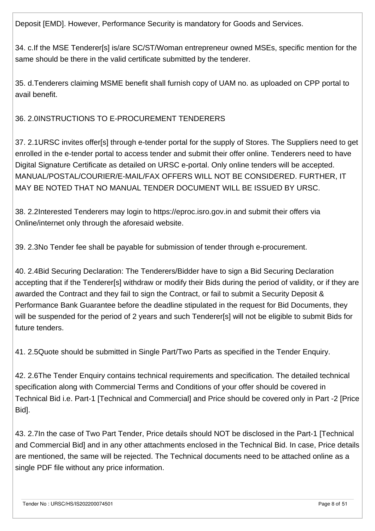Deposit [EMD]. However, Performance Security is mandatory for Goods and Services.

34. c.If the MSE Tenderer[s] is/are SC/ST/Woman entrepreneur owned MSEs, specific mention for the same should be there in the valid certificate submitted by the tenderer.

35. d.Tenderers claiming MSME benefit shall furnish copy of UAM no. as uploaded on CPP portal to avail benefit.

#### 36. 2.0INSTRUCTIONS TO E-PROCUREMENT TENDERERS

37. 2.1URSC invites offer[s] through e-tender portal for the supply of Stores. The Suppliers need to get enrolled in the e-tender portal to access tender and submit their offer online. Tenderers need to have Digital Signature Certificate as detailed on URSC e-portal. Only online tenders will be accepted. MANUAL/POSTAL/COURIER/E-MAIL/FAX OFFERS WILL NOT BE CONSIDERED. FURTHER, IT MAY BE NOTED THAT NO MANUAL TENDER DOCUMENT WILL BE ISSUED BY URSC.

38. 2.2Interested Tenderers may login to https://eproc.isro.gov.in and submit their offers via Online/internet only through the aforesaid website.

39. 2.3No Tender fee shall be payable for submission of tender through e-procurement.

40. 2.4Bid Securing Declaration: The Tenderers/Bidder have to sign a Bid Securing Declaration accepting that if the Tenderer[s] withdraw or modify their Bids during the period of validity, or if they are awarded the Contract and they fail to sign the Contract, or fail to submit a Security Deposit & Performance Bank Guarantee before the deadline stipulated in the request for Bid Documents, they will be suspended for the period of 2 years and such Tenderer[s] will not be eligible to submit Bids for future tenders.

41. 2.5Quote should be submitted in Single Part/Two Parts as specified in the Tender Enquiry.

42. 2.6The Tender Enquiry contains technical requirements and specification. The detailed technical specification along with Commercial Terms and Conditions of your offer should be covered in Technical Bid i.e. Part-1 [Technical and Commercial] and Price should be covered only in Part -2 [Price Bid].

43. 2.7In the case of Two Part Tender, Price details should NOT be disclosed in the Part-1 [Technical and Commercial Bid] and in any other attachments enclosed in the Technical Bid. In case, Price details are mentioned, the same will be rejected. The Technical documents need to be attached online as a single PDF file without any price information.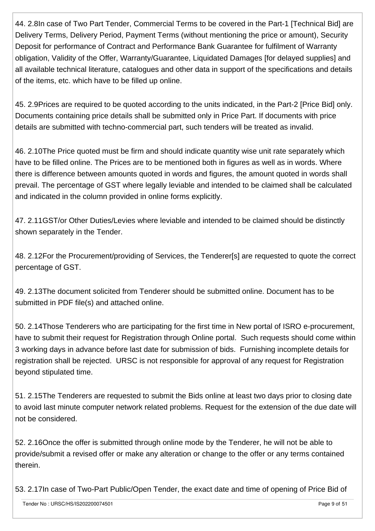44. 2.8In case of Two Part Tender, Commercial Terms to be covered in the Part-1 [Technical Bid] are Delivery Terms, Delivery Period, Payment Terms (without mentioning the price or amount), Security Deposit for performance of Contract and Performance Bank Guarantee for fulfilment of Warranty obligation, Validity of the Offer, Warranty/Guarantee, Liquidated Damages [for delayed supplies] and all available technical literature, catalogues and other data in support of the specifications and details of the items, etc. which have to be filled up online.

45. 2.9Prices are required to be quoted according to the units indicated, in the Part-2 [Price Bid] only. Documents containing price details shall be submitted only in Price Part. If documents with price details are submitted with techno-commercial part, such tenders will be treated as invalid.

46. 2.10The Price quoted must be firm and should indicate quantity wise unit rate separately which have to be filled online. The Prices are to be mentioned both in figures as well as in words. Where there is difference between amounts quoted in words and figures, the amount quoted in words shall prevail. The percentage of GST where legally leviable and intended to be claimed shall be calculated and indicated in the column provided in online forms explicitly.

47. 2.11GST/or Other Duties/Levies where leviable and intended to be claimed should be distinctly shown separately in the Tender.

48. 2.12For the Procurement/providing of Services, the Tenderer[s] are requested to quote the correct percentage of GST.

49. 2.13The document solicited from Tenderer should be submitted online. Document has to be submitted in PDF file(s) and attached online.

50. 2.14Those Tenderers who are participating for the first time in New portal of ISRO e-procurement, have to submit their request for Registration through Online portal. Such requests should come within 3 working days in advance before last date for submission of bids. Furnishing incomplete details for registration shall be rejected. URSC is not responsible for approval of any request for Registration beyond stipulated time.

51. 2.15The Tenderers are requested to submit the Bids online at least two days prior to closing date to avoid last minute computer network related problems. Request for the extension of the due date will not be considered.

52. 2.16Once the offer is submitted through online mode by the Tenderer, he will not be able to provide/submit a revised offer or make any alteration or change to the offer or any terms contained therein.

53. 2.17In case of Two-Part Public/Open Tender, the exact date and time of opening of Price Bid of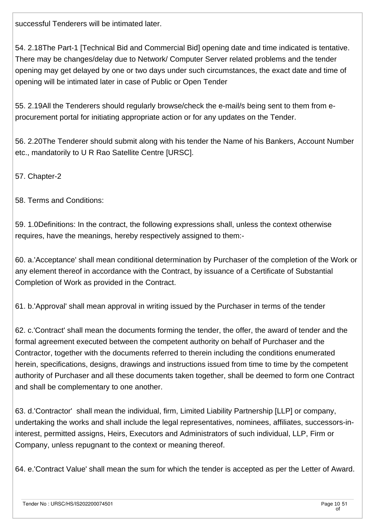successful Tenderers will be intimated later.

54. 2.18The Part-1 [Technical Bid and Commercial Bid] opening date and time indicated is tentative. There may be changes/delay due to Network/ Computer Server related problems and the tender opening may get delayed by one or two days under such circumstances, the exact date and time of opening will be intimated later in case of Public or Open Tender

55. 2.19All the Tenderers should regularly browse/check the e-mail/s being sent to them from eprocurement portal for initiating appropriate action or for any updates on the Tender.

56. 2.20The Tenderer should submit along with his tender the Name of his Bankers, Account Number etc., mandatorily to U R Rao Satellite Centre [URSC].

57. Chapter-2

58. Terms and Conditions:

59. 1.0Definitions: In the contract, the following expressions shall, unless the context otherwise requires, have the meanings, hereby respectively assigned to them:-

60. a.'Acceptance' shall mean conditional determination by Purchaser of the completion of the Work or any element thereof in accordance with the Contract, by issuance of a Certificate of Substantial Completion of Work as provided in the Contract.

61. b.'Approval' shall mean approval in writing issued by the Purchaser in terms of the tender

62. c.'Contract' shall mean the documents forming the tender, the offer, the award of tender and the formal agreement executed between the competent authority on behalf of Purchaser and the Contractor, together with the documents referred to therein including the conditions enumerated herein, specifications, designs, drawings and instructions issued from time to time by the competent authority of Purchaser and all these documents taken together, shall be deemed to form one Contract and shall be complementary to one another.

63. d.'Contractor' shall mean the individual, firm, Limited Liability Partnership [LLP] or company, undertaking the works and shall include the legal representatives, nominees, affiliates, successors-ininterest, permitted assigns, Heirs, Executors and Administrators of such individual, LLP, Firm or Company, unless repugnant to the context or meaning thereof.

64. e.'Contract Value' shall mean the sum for which the tender is accepted as per the Letter of Award.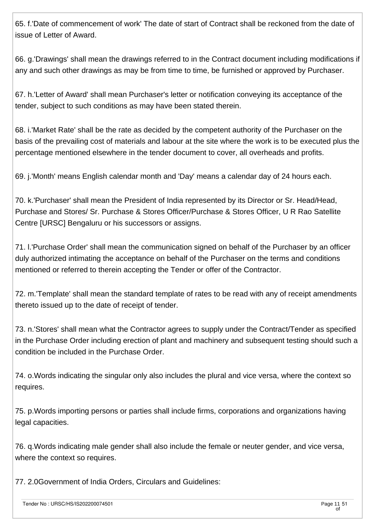65. f.'Date of commencement of work' The date of start of Contract shall be reckoned from the date of issue of Letter of Award.

66. g.'Drawings' shall mean the drawings referred to in the Contract document including modifications if any and such other drawings as may be from time to time, be furnished or approved by Purchaser.

67. h.'Letter of Award' shall mean Purchaser's letter or notification conveying its acceptance of the tender, subject to such conditions as may have been stated therein.

68. i.'Market Rate' shall be the rate as decided by the competent authority of the Purchaser on the basis of the prevailing cost of materials and labour at the site where the work is to be executed plus the percentage mentioned elsewhere in the tender document to cover, all overheads and profits.

69. j.'Month' means English calendar month and 'Day' means a calendar day of 24 hours each.

70. k.'Purchaser' shall mean the President of India represented by its Director or Sr. Head/Head, Purchase and Stores/ Sr. Purchase & Stores Officer/Purchase & Stores Officer, U R Rao Satellite Centre [URSC] Bengaluru or his successors or assigns.

71. l.'Purchase Order' shall mean the communication signed on behalf of the Purchaser by an officer duly authorized intimating the acceptance on behalf of the Purchaser on the terms and conditions mentioned or referred to therein accepting the Tender or offer of the Contractor.

72. m.'Template' shall mean the standard template of rates to be read with any of receipt amendments thereto issued up to the date of receipt of tender.

73. n.'Stores' shall mean what the Contractor agrees to supply under the Contract/Tender as specified in the Purchase Order including erection of plant and machinery and subsequent testing should such a condition be included in the Purchase Order.

74. o.Words indicating the singular only also includes the plural and vice versa, where the context so requires.

75. p.Words importing persons or parties shall include firms, corporations and organizations having legal capacities.

76. q.Words indicating male gender shall also include the female or neuter gender, and vice versa, where the context so requires.

77. 2.0Government of India Orders, Circulars and Guidelines: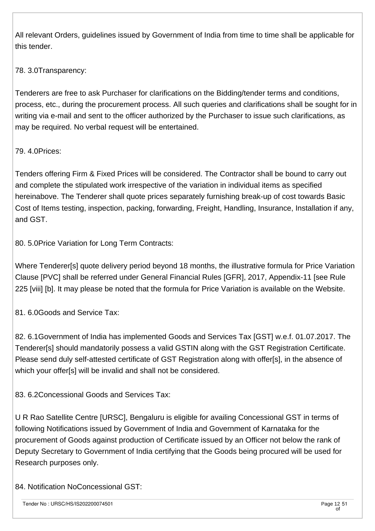All relevant Orders, guidelines issued by Government of India from time to time shall be applicable for this tender.

#### 78. 3.0Transparency:

Tenderers are free to ask Purchaser for clarifications on the Bidding/tender terms and conditions, process, etc., during the procurement process. All such queries and clarifications shall be sought for in writing via e-mail and sent to the officer authorized by the Purchaser to issue such clarifications, as may be required. No verbal request will be entertained.

#### 79. 4.0Prices:

Tenders offering Firm & Fixed Prices will be considered. The Contractor shall be bound to carry out and complete the stipulated work irrespective of the variation in individual items as specified hereinabove. The Tenderer shall quote prices separately furnishing break-up of cost towards Basic Cost of Items testing, inspection, packing, forwarding, Freight, Handling, Insurance, Installation if any, and GST.

80. 5.0Price Variation for Long Term Contracts:

Where Tenderer[s] quote delivery period beyond 18 months, the illustrative formula for Price Variation Clause [PVC] shall be referred under General Financial Rules [GFR], 2017, Appendix-11 [see Rule 225 [viii] [b]. It may please be noted that the formula for Price Variation is available on the Website.

81. 6.0Goods and Service Tax:

82. 6.1Government of India has implemented Goods and Services Tax [GST] w.e.f. 01.07.2017. The Tenderer[s] should mandatorily possess a valid GSTIN along with the GST Registration Certificate. Please send duly self-attested certificate of GST Registration along with offer[s], in the absence of which your offer[s] will be invalid and shall not be considered.

83. 6.2Concessional Goods and Services Tax:

U R Rao Satellite Centre [URSC], Bengaluru is eligible for availing Concessional GST in terms of following Notifications issued by Government of India and Government of Karnataka for the procurement of Goods against production of Certificate issued by an Officer not below the rank of Deputy Secretary to Government of India certifying that the Goods being procured will be used for Research purposes only.

84. Notification NoConcessional GST: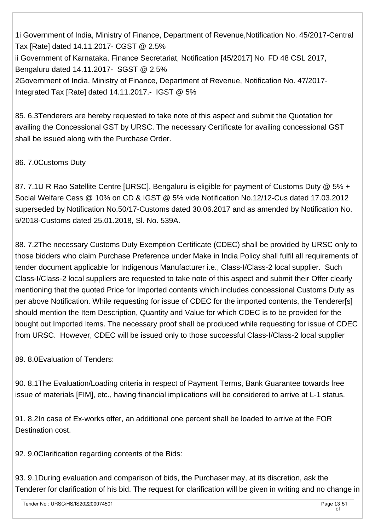1i Government of India, Ministry of Finance, Department of Revenue,Notification No. 45/2017-Central Tax [Rate] dated 14.11.2017- CGST @ 2.5% ii Government of Karnataka, Finance Secretariat, Notification [45/2017] No. FD 48 CSL 2017, Bengaluru dated 14.11.2017- SGST @ 2.5% 2Government of India, Ministry of Finance, Department of Revenue, Notification No. 47/2017- Integrated Tax [Rate] dated 14.11.2017.- IGST @ 5%

85. 6.3Tenderers are hereby requested to take note of this aspect and submit the Quotation for availing the Concessional GST by URSC. The necessary Certificate for availing concessional GST shall be issued along with the Purchase Order.

86. 7.0Customs Duty

87. 7.1U R Rao Satellite Centre [URSC], Bengaluru is eligible for payment of Customs Duty @ 5% + Social Welfare Cess @ 10% on CD & IGST @ 5% vide Notification No.12/12-Cus dated 17.03.2012 superseded by Notification No.50/17-Customs dated 30.06.2017 and as amended by Notification No. 5/2018-Customs dated 25.01.2018, Sl. No. 539A.

88. 7.2The necessary Customs Duty Exemption Certificate (CDEC) shall be provided by URSC only to those bidders who claim Purchase Preference under Make in India Policy shall fulfil all requirements of tender document applicable for Indigenous Manufacturer i.e., Class-I/Class-2 local supplier. Such Class-I/Class-2 local suppliers are requested to take note of this aspect and submit their Offer clearly mentioning that the quoted Price for Imported contents which includes concessional Customs Duty as per above Notification. While requesting for issue of CDEC for the imported contents, the Tenderer[s] should mention the Item Description, Quantity and Value for which CDEC is to be provided for the bought out Imported Items. The necessary proof shall be produced while requesting for issue of CDEC from URSC. However, CDEC will be issued only to those successful Class-I/Class-2 local supplier

89. 8.0Evaluation of Tenders:

90. 8.1The Evaluation/Loading criteria in respect of Payment Terms, Bank Guarantee towards free issue of materials [FIM], etc., having financial implications will be considered to arrive at L-1 status.

91. 8.2In case of Ex-works offer, an additional one percent shall be loaded to arrive at the FOR Destination cost.

92. 9.0Clarification regarding contents of the Bids:

93. 9.1During evaluation and comparison of bids, the Purchaser may, at its discretion, ask the Tenderer for clarification of his bid. The request for clarification will be given in writing and no change in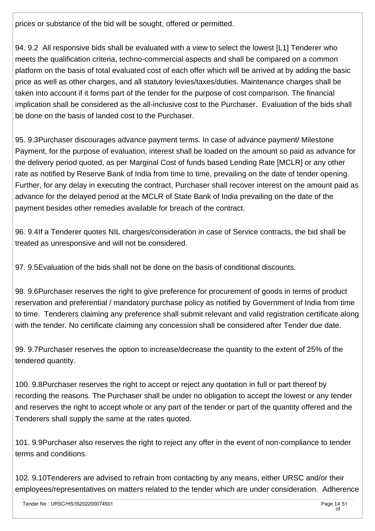prices or substance of the bid will be sought, offered or permitted.

94. 9.2 All responsive bids shall be evaluated with a view to select the lowest [L1] Tenderer who meets the qualification criteria, techno-commercial aspects and shall be compared on a common platform on the basis of total evaluated cost of each offer which will be arrived at by adding the basic price as well as other charges, and all statutory levies/taxes/duties. Maintenance charges shall be taken into account if it forms part of the tender for the purpose of cost comparison. The financial implication shall be considered as the all-inclusive cost to the Purchaser. Evaluation of the bids shall be done on the basis of landed cost to the Purchaser.

95. 9.3Purchaser discourages advance payment terms. In case of advance payment/ Milestone Payment, for the purpose of evaluation, interest shall be loaded on the amount so paid as advance for the delivery period quoted, as per Marginal Cost of funds based Lending Rate [MCLR] or any other rate as notified by Reserve Bank of India from time to time, prevailing on the date of tender opening. Further, for any delay in executing the contract, Purchaser shall recover interest on the amount paid as advance for the delayed period at the MCLR of State Bank of India prevailing on the date of the payment besides other remedies available for breach of the contract.

96. 9.4If a Tenderer quotes NIL charges/consideration in case of Service contracts, the bid shall be treated as unresponsive and will not be considered.

97. 9.5Evaluation of the bids shall not be done on the basis of conditional discounts.

98. 9.6Purchaser reserves the right to give preference for procurement of goods in terms of product reservation and preferential / mandatory purchase policy as notified by Government of India from time to time. Tenderers claiming any preference shall submit relevant and valid registration certificate along with the tender. No certificate claiming any concession shall be considered after Tender due date.

99. 9.7Purchaser reserves the option to increase/decrease the quantity to the extent of 25% of the tendered quantity.

100. 9.8Purchaser reserves the right to accept or reject any quotation in full or part thereof by recording the reasons. The Purchaser shall be under no obligation to accept the lowest or any tender and reserves the right to accept whole or any part of the tender or part of the quantity offered and the Tenderers shall supply the same at the rates quoted.

101. 9.9Purchaser also reserves the right to reject any offer in the event of non-compliance to tender terms and conditions.

102. 9.10Tenderers are advised to refrain from contacting by any means, either URSC and/or their employees/representatives on matters related to the tender which are under consideration. Adherence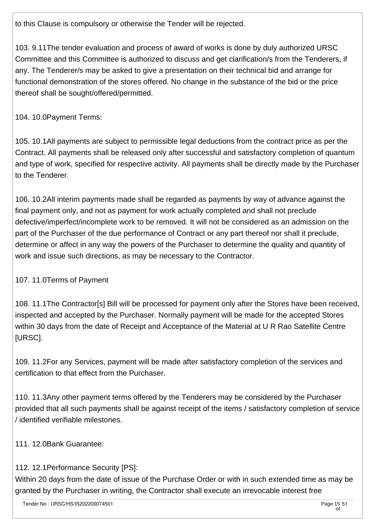to this Clause is compulsory or otherwise the Tender will be rejected.

103. 9.11The tender evaluation and process of award of works is done by duly authorized URSC Committee and this Committee is authorized to discuss and get clarification/s from the Tenderers, if any. The Tenderer/s may be asked to give a presentation on their technical bid and arrange for functional demonstration of the stores offered. No change in the substance of the bid or the price thereof shall be sought/offered/permitted.

104. 10.0Payment Terms:

105. 10.1All payments are subject to permissible legal deductions from the contract price as per the Contract. All payments shall be released only after successful and satisfactory completion of quantum and type of work, specified for respective activity. All payments shall be directly made by the Purchaser to the Tenderer.

106. 10.2All interim payments made shall be regarded as payments by way of advance against the final payment only, and not as payment for work actually completed and shall not preclude defective/imperfect/incomplete work to be removed. It will not be considered as an admission on the part of the Purchaser of the due performance of Contract or any part thereof nor shall it preclude, determine or affect in any way the powers of the Purchaser to determine the quality and quantity of work and issue such directions, as may be necessary to the Contractor.

## 107. 11.0Terms of Payment

108. 11.1The Contractor[s] Bill will be processed for payment only after the Stores have been received, inspected and accepted by the Purchaser. Normally payment will be made for the accepted Stores within 30 days from the date of Receipt and Acceptance of the Material at U R Rao Satellite Centre [URSC].

109. 11.2For any Services, payment will be made after satisfactory completion of the services and certification to that effect from the Purchaser.

110. 11.3Any other payment terms offered by the Tenderers may be considered by the Purchaser provided that all such payments shall be against receipt of the items / satisfactory completion of service / identified verifiable milestones.

111. 12.0Bank Guarantee:

# 112. 12.1Performance Security [PS]:

Within 20 days from the date of issue of the Purchase Order or with in such extended time as may be granted by the Purchaser in writing, the Contractor shall execute an irrevocable interest free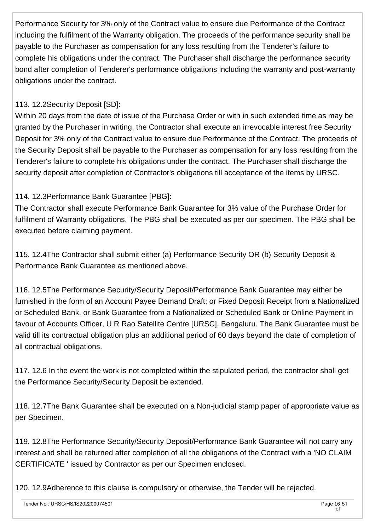Performance Security for 3% only of the Contract value to ensure due Performance of the Contract including the fulfilment of the Warranty obligation. The proceeds of the performance security shall be payable to the Purchaser as compensation for any loss resulting from the Tenderer's failure to complete his obligations under the contract. The Purchaser shall discharge the performance security bond after completion of Tenderer's performance obligations including the warranty and post-warranty obligations under the contract.

#### 113. 12.2Security Deposit [SD]:

Within 20 days from the date of issue of the Purchase Order or with in such extended time as may be granted by the Purchaser in writing, the Contractor shall execute an irrevocable interest free Security Deposit for 3% only of the Contract value to ensure due Performance of the Contract. The proceeds of the Security Deposit shall be payable to the Purchaser as compensation for any loss resulting from the Tenderer's failure to complete his obligations under the contract. The Purchaser shall discharge the security deposit after completion of Contractor's obligations till acceptance of the items by URSC.

#### 114. 12.3Performance Bank Guarantee [PBG]:

The Contractor shall execute Performance Bank Guarantee for 3% value of the Purchase Order for fulfilment of Warranty obligations. The PBG shall be executed as per our specimen. The PBG shall be executed before claiming payment.

115. 12.4The Contractor shall submit either (a) Performance Security OR (b) Security Deposit & Performance Bank Guarantee as mentioned above.

116. 12.5The Performance Security/Security Deposit/Performance Bank Guarantee may either be furnished in the form of an Account Payee Demand Draft; or Fixed Deposit Receipt from a Nationalized or Scheduled Bank, or Bank Guarantee from a Nationalized or Scheduled Bank or Online Payment in favour of Accounts Officer, U R Rao Satellite Centre [URSC], Bengaluru. The Bank Guarantee must be valid till its contractual obligation plus an additional period of 60 days beyond the date of completion of all contractual obligations.

117. 12.6 In the event the work is not completed within the stipulated period, the contractor shall get the Performance Security/Security Deposit be extended.

118. 12.7The Bank Guarantee shall be executed on a Non-judicial stamp paper of appropriate value as per Specimen.

119. 12.8The Performance Security/Security Deposit/Performance Bank Guarantee will not carry any interest and shall be returned after completion of all the obligations of the Contract with a 'NO CLAIM CERTIFICATE ' issued by Contractor as per our Specimen enclosed.

120. 12.9Adherence to this clause is compulsory or otherwise, the Tender will be rejected.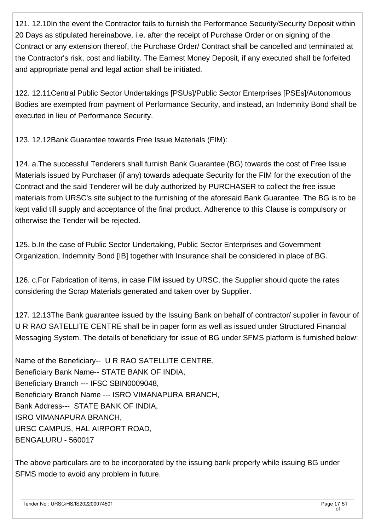121. 12.10In the event the Contractor fails to furnish the Performance Security/Security Deposit within 20 Days as stipulated hereinabove, i.e. after the receipt of Purchase Order or on signing of the Contract or any extension thereof, the Purchase Order/ Contract shall be cancelled and terminated at the Contractor's risk, cost and liability. The Earnest Money Deposit, if any executed shall be forfeited and appropriate penal and legal action shall be initiated.

122. 12.11Central Public Sector Undertakings [PSUs]/Public Sector Enterprises [PSEs]/Autonomous Bodies are exempted from payment of Performance Security, and instead, an Indemnity Bond shall be executed in lieu of Performance Security.

123. 12.12Bank Guarantee towards Free Issue Materials (FIM):

124. a.The successful Tenderers shall furnish Bank Guarantee (BG) towards the cost of Free Issue Materials issued by Purchaser (if any) towards adequate Security for the FIM for the execution of the Contract and the said Tenderer will be duly authorized by PURCHASER to collect the free issue materials from URSC's site subject to the furnishing of the aforesaid Bank Guarantee. The BG is to be kept valid till supply and acceptance of the final product. Adherence to this Clause is compulsory or otherwise the Tender will be rejected.

125. b.In the case of Public Sector Undertaking, Public Sector Enterprises and Government Organization, Indemnity Bond [IB] together with Insurance shall be considered in place of BG.

126. c.For Fabrication of items, in case FIM issued by URSC, the Supplier should quote the rates considering the Scrap Materials generated and taken over by Supplier.

127. 12.13The Bank guarantee issued by the Issuing Bank on behalf of contractor/ supplier in favour of U R RAO SATELLITE CENTRE shall be in paper form as well as issued under Structured Financial Messaging System. The details of beneficiary for issue of BG under SFMS platform is furnished below:

Name of the Beneficiary-- U R RAO SATELLITE CENTRE, Beneficiary Bank Name-- STATE BANK OF INDIA, Beneficiary Branch --- IFSC SBIN0009048, Beneficiary Branch Name --- ISRO VIMANAPURA BRANCH, Bank Address--- STATE BANK OF INDIA, ISRO VIMANAPURA BRANCH, URSC CAMPUS, HAL AIRPORT ROAD, BENGALURU - 560017

The above particulars are to be incorporated by the issuing bank properly while issuing BG under SFMS mode to avoid any problem in future.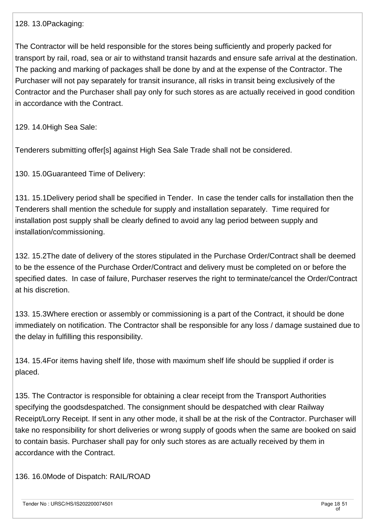128. 13.0Packaging:

The Contractor will be held responsible for the stores being sufficiently and properly packed for transport by rail, road, sea or air to withstand transit hazards and ensure safe arrival at the destination. The packing and marking of packages shall be done by and at the expense of the Contractor. The Purchaser will not pay separately for transit insurance, all risks in transit being exclusively of the Contractor and the Purchaser shall pay only for such stores as are actually received in good condition in accordance with the Contract.

129. 14.0High Sea Sale:

Tenderers submitting offer[s] against High Sea Sale Trade shall not be considered.

130. 15.0Guaranteed Time of Delivery:

131. 15.1Delivery period shall be specified in Tender. In case the tender calls for installation then the Tenderers shall mention the schedule for supply and installation separately. Time required for installation post supply shall be clearly defined to avoid any lag period between supply and installation/commissioning.

132. 15.2The date of delivery of the stores stipulated in the Purchase Order/Contract shall be deemed to be the essence of the Purchase Order/Contract and delivery must be completed on or before the specified dates. In case of failure, Purchaser reserves the right to terminate/cancel the Order/Contract at his discretion.

133. 15.3Where erection or assembly or commissioning is a part of the Contract, it should be done immediately on notification. The Contractor shall be responsible for any loss / damage sustained due to the delay in fulfilling this responsibility.

134. 15.4For items having shelf life, those with maximum shelf life should be supplied if order is placed.

135. The Contractor is responsible for obtaining a clear receipt from the Transport Authorities specifying the goodsdespatched. The consignment should be despatched with clear Railway Receipt/Lorry Receipt. If sent in any other mode, it shall be at the risk of the Contractor. Purchaser will take no responsibility for short deliveries or wrong supply of goods when the same are booked on said to contain basis. Purchaser shall pay for only such stores as are actually received by them in accordance with the Contract.

136. 16.0Mode of Dispatch: RAIL/ROAD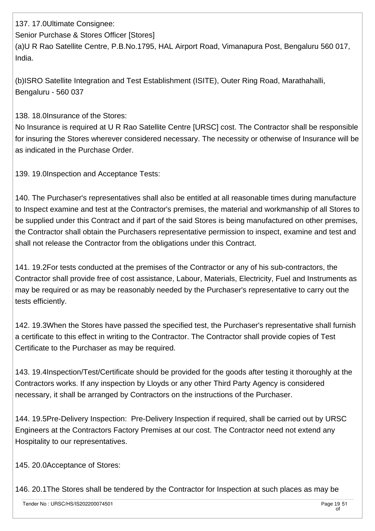137. 17.0Ultimate Consignee: Senior Purchase & Stores Officer [Stores] (a)U R Rao Satellite Centre, P.B.No.1795, HAL Airport Road, Vimanapura Post, Bengaluru 560 017, India.

(b)ISRO Satellite Integration and Test Establishment (ISITE), Outer Ring Road, Marathahalli, Bengaluru - 560 037

138. 18.0Insurance of the Stores:

No Insurance is required at U R Rao Satellite Centre [URSC] cost. The Contractor shall be responsible for insuring the Stores wherever considered necessary. The necessity or otherwise of Insurance will be as indicated in the Purchase Order.

139. 19.0Inspection and Acceptance Tests:

140. The Purchaser's representatives shall also be entitled at all reasonable times during manufacture to Inspect examine and test at the Contractor's premises, the material and workmanship of all Stores to be supplied under this Contract and if part of the said Stores is being manufactured on other premises, the Contractor shall obtain the Purchasers representative permission to inspect, examine and test and shall not release the Contractor from the obligations under this Contract.

141. 19.2For tests conducted at the premises of the Contractor or any of his sub-contractors, the Contractor shall provide free of cost assistance, Labour, Materials, Electricity, Fuel and Instruments as may be required or as may be reasonably needed by the Purchaser's representative to carry out the tests efficiently.

142. 19.3When the Stores have passed the specified test, the Purchaser's representative shall furnish a certificate to this effect in writing to the Contractor. The Contractor shall provide copies of Test Certificate to the Purchaser as may be required.

143. 19.4Inspection/Test/Certificate should be provided for the goods after testing it thoroughly at the Contractors works. If any inspection by Lloyds or any other Third Party Agency is considered necessary, it shall be arranged by Contractors on the instructions of the Purchaser.

144. 19.5Pre-Delivery Inspection: Pre-Delivery Inspection if required, shall be carried out by URSC Engineers at the Contractors Factory Premises at our cost. The Contractor need not extend any Hospitality to our representatives.

145. 20.0Acceptance of Stores:

146. 20.1The Stores shall be tendered by the Contractor for Inspection at such places as may be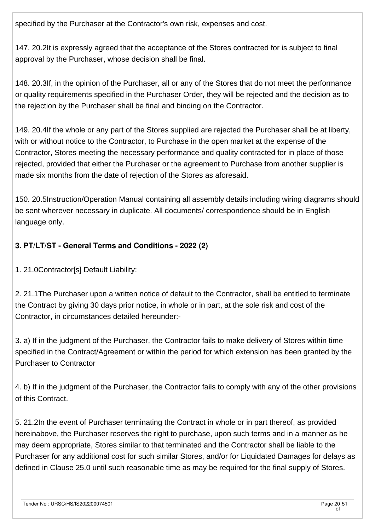specified by the Purchaser at the Contractor's own risk, expenses and cost.

147. 20.2It is expressly agreed that the acceptance of the Stores contracted for is subject to final approval by the Purchaser, whose decision shall be final.

148. 20.3If, in the opinion of the Purchaser, all or any of the Stores that do not meet the performance or quality requirements specified in the Purchaser Order, they will be rejected and the decision as to the rejection by the Purchaser shall be final and binding on the Contractor.

149. 20.4If the whole or any part of the Stores supplied are rejected the Purchaser shall be at liberty, with or without notice to the Contractor, to Purchase in the open market at the expense of the Contractor, Stores meeting the necessary performance and quality contracted for in place of those rejected, provided that either the Purchaser or the agreement to Purchase from another supplier is made six months from the date of rejection of the Stores as aforesaid.

150. 20.5Instruction/Operation Manual containing all assembly details including wiring diagrams should be sent wherever necessary in duplicate. All documents/ correspondence should be in English language only.

## **3. PT/LT/ST - General Terms and Conditions - 2022 (2)**

1. 21.0Contractor[s] Default Liability:

2. 21.1The Purchaser upon a written notice of default to the Contractor, shall be entitled to terminate the Contract by giving 30 days prior notice, in whole or in part, at the sole risk and cost of the Contractor, in circumstances detailed hereunder:-

3. a) If in the judgment of the Purchaser, the Contractor fails to make delivery of Stores within time specified in the Contract/Agreement or within the period for which extension has been granted by the Purchaser to Contractor

4. b) If in the judgment of the Purchaser, the Contractor fails to comply with any of the other provisions of this Contract.

5. 21.2In the event of Purchaser terminating the Contract in whole or in part thereof, as provided hereinabove, the Purchaser reserves the right to purchase, upon such terms and in a manner as he may deem appropriate, Stores similar to that terminated and the Contractor shall be liable to the Purchaser for any additional cost for such similar Stores, and/or for Liquidated Damages for delays as defined in Clause 25.0 until such reasonable time as may be required for the final supply of Stores.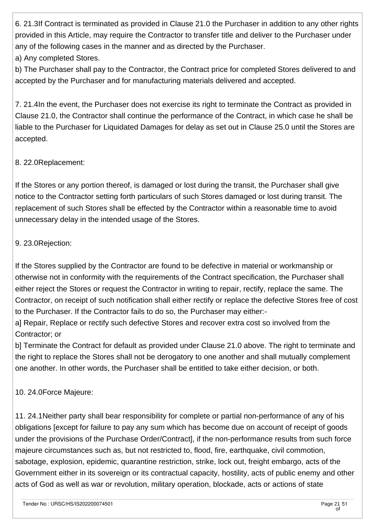6. 21.3If Contract is terminated as provided in Clause 21.0 the Purchaser in addition to any other rights provided in this Article, may require the Contractor to transfer title and deliver to the Purchaser under any of the following cases in the manner and as directed by the Purchaser. a) Any completed Stores.

b) The Purchaser shall pay to the Contractor, the Contract price for completed Stores delivered to and accepted by the Purchaser and for manufacturing materials delivered and accepted.

7. 21.4In the event, the Purchaser does not exercise its right to terminate the Contract as provided in Clause 21.0, the Contractor shall continue the performance of the Contract, in which case he shall be liable to the Purchaser for Liquidated Damages for delay as set out in Clause 25.0 until the Stores are accepted.

#### 8. 22.0Replacement:

If the Stores or any portion thereof, is damaged or lost during the transit, the Purchaser shall give notice to the Contractor setting forth particulars of such Stores damaged or lost during transit. The replacement of such Stores shall be effected by the Contractor within a reasonable time to avoid unnecessary delay in the intended usage of the Stores.

#### 9. 23.0Rejection:

If the Stores supplied by the Contractor are found to be defective in material or workmanship or otherwise not in conformity with the requirements of the Contract specification, the Purchaser shall either reject the Stores or request the Contractor in writing to repair, rectify, replace the same. The Contractor, on receipt of such notification shall either rectify or replace the defective Stores free of cost to the Purchaser. If the Contractor fails to do so, the Purchaser may either:-

a] Repair, Replace or rectify such defective Stores and recover extra cost so involved from the Contractor; or

b] Terminate the Contract for default as provided under Clause 21.0 above. The right to terminate and the right to replace the Stores shall not be derogatory to one another and shall mutually complement one another. In other words, the Purchaser shall be entitled to take either decision, or both.

#### 10. 24.0Force Majeure:

11. 24.1Neither party shall bear responsibility for complete or partial non-performance of any of his obligations [except for failure to pay any sum which has become due on account of receipt of goods under the provisions of the Purchase Order/Contract], if the non-performance results from such force majeure circumstances such as, but not restricted to, flood, fire, earthquake, civil commotion, sabotage, explosion, epidemic, quarantine restriction, strike, lock out, freight embargo, acts of the Government either in its sovereign or its contractual capacity, hostility, acts of public enemy and other acts of God as well as war or revolution, military operation, blockade, acts or actions of state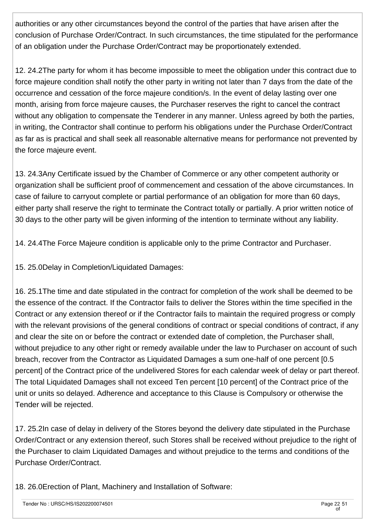authorities or any other circumstances beyond the control of the parties that have arisen after the conclusion of Purchase Order/Contract. In such circumstances, the time stipulated for the performance of an obligation under the Purchase Order/Contract may be proportionately extended.

12. 24.2The party for whom it has become impossible to meet the obligation under this contract due to force majeure condition shall notify the other party in writing not later than 7 days from the date of the occurrence and cessation of the force majeure condition/s. In the event of delay lasting over one month, arising from force majeure causes, the Purchaser reserves the right to cancel the contract without any obligation to compensate the Tenderer in any manner. Unless agreed by both the parties, in writing, the Contractor shall continue to perform his obligations under the Purchase Order/Contract as far as is practical and shall seek all reasonable alternative means for performance not prevented by the force majeure event.

13. 24.3Any Certificate issued by the Chamber of Commerce or any other competent authority or organization shall be sufficient proof of commencement and cessation of the above circumstances. In case of failure to carryout complete or partial performance of an obligation for more than 60 days, either party shall reserve the right to terminate the Contract totally or partially. A prior written notice of 30 days to the other party will be given informing of the intention to terminate without any liability.

14. 24.4The Force Majeure condition is applicable only to the prime Contractor and Purchaser.

15. 25.0Delay in Completion/Liquidated Damages:

16. 25.1The time and date stipulated in the contract for completion of the work shall be deemed to be the essence of the contract. If the Contractor fails to deliver the Stores within the time specified in the Contract or any extension thereof or if the Contractor fails to maintain the required progress or comply with the relevant provisions of the general conditions of contract or special conditions of contract, if any and clear the site on or before the contract or extended date of completion, the Purchaser shall, without prejudice to any other right or remedy available under the law to Purchaser on account of such breach, recover from the Contractor as Liquidated Damages a sum one-half of one percent [0.5 percent] of the Contract price of the undelivered Stores for each calendar week of delay or part thereof. The total Liquidated Damages shall not exceed Ten percent [10 percent] of the Contract price of the unit or units so delayed. Adherence and acceptance to this Clause is Compulsory or otherwise the Tender will be rejected.

17. 25.2In case of delay in delivery of the Stores beyond the delivery date stipulated in the Purchase Order/Contract or any extension thereof, such Stores shall be received without prejudice to the right of the Purchaser to claim Liquidated Damages and without prejudice to the terms and conditions of the Purchase Order/Contract.

18. 26.0Erection of Plant, Machinery and Installation of Software: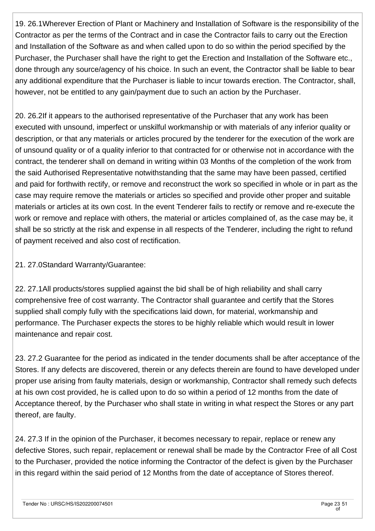19. 26.1Wherever Erection of Plant or Machinery and Installation of Software is the responsibility of the Contractor as per the terms of the Contract and in case the Contractor fails to carry out the Erection and Installation of the Software as and when called upon to do so within the period specified by the Purchaser, the Purchaser shall have the right to get the Erection and Installation of the Software etc., done through any source/agency of his choice. In such an event, the Contractor shall be liable to bear any additional expenditure that the Purchaser is liable to incur towards erection. The Contractor, shall, however, not be entitled to any gain/payment due to such an action by the Purchaser.

20. 26.2If it appears to the authorised representative of the Purchaser that any work has been executed with unsound, imperfect or unskilful workmanship or with materials of any inferior quality or description, or that any materials or articles procured by the tenderer for the execution of the work are of unsound quality or of a quality inferior to that contracted for or otherwise not in accordance with the contract, the tenderer shall on demand in writing within 03 Months of the completion of the work from the said Authorised Representative notwithstanding that the same may have been passed, certified and paid for forthwith rectify, or remove and reconstruct the work so specified in whole or in part as the case may require remove the materials or articles so specified and provide other proper and suitable materials or articles at its own cost. In the event Tenderer fails to rectify or remove and re-execute the work or remove and replace with others, the material or articles complained of, as the case may be, it shall be so strictly at the risk and expense in all respects of the Tenderer, including the right to refund of payment received and also cost of rectification.

21. 27.0Standard Warranty/Guarantee:

22. 27.1All products/stores supplied against the bid shall be of high reliability and shall carry comprehensive free of cost warranty. The Contractor shall guarantee and certify that the Stores supplied shall comply fully with the specifications laid down, for material, workmanship and performance. The Purchaser expects the stores to be highly reliable which would result in lower maintenance and repair cost.

23. 27.2 Guarantee for the period as indicated in the tender documents shall be after acceptance of the Stores. If any defects are discovered, therein or any defects therein are found to have developed under proper use arising from faulty materials, design or workmanship, Contractor shall remedy such defects at his own cost provided, he is called upon to do so within a period of 12 months from the date of Acceptance thereof, by the Purchaser who shall state in writing in what respect the Stores or any part thereof, are faulty.

24. 27.3 If in the opinion of the Purchaser, it becomes necessary to repair, replace or renew any defective Stores, such repair, replacement or renewal shall be made by the Contractor Free of all Cost to the Purchaser, provided the notice informing the Contractor of the defect is given by the Purchaser in this regard within the said period of 12 Months from the date of acceptance of Stores thereof.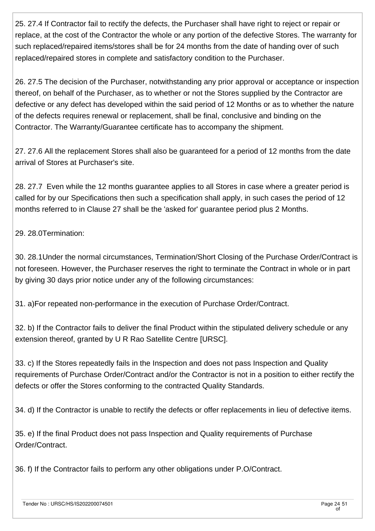25. 27.4 If Contractor fail to rectify the defects, the Purchaser shall have right to reject or repair or replace, at the cost of the Contractor the whole or any portion of the defective Stores. The warranty for such replaced/repaired items/stores shall be for 24 months from the date of handing over of such replaced/repaired stores in complete and satisfactory condition to the Purchaser.

26. 27.5 The decision of the Purchaser, notwithstanding any prior approval or acceptance or inspection thereof, on behalf of the Purchaser, as to whether or not the Stores supplied by the Contractor are defective or any defect has developed within the said period of 12 Months or as to whether the nature of the defects requires renewal or replacement, shall be final, conclusive and binding on the Contractor. The Warranty/Guarantee certificate has to accompany the shipment.

27. 27.6 All the replacement Stores shall also be guaranteed for a period of 12 months from the date arrival of Stores at Purchaser's site.

28. 27.7 Even while the 12 months guarantee applies to all Stores in case where a greater period is called for by our Specifications then such a specification shall apply, in such cases the period of 12 months referred to in Clause 27 shall be the 'asked for' guarantee period plus 2 Months.

29. 28.0Termination:

30. 28.1Under the normal circumstances, Termination/Short Closing of the Purchase Order/Contract is not foreseen. However, the Purchaser reserves the right to terminate the Contract in whole or in part by giving 30 days prior notice under any of the following circumstances:

31. a)For repeated non-performance in the execution of Purchase Order/Contract.

32. b) If the Contractor fails to deliver the final Product within the stipulated delivery schedule or any extension thereof, granted by U R Rao Satellite Centre [URSC].

33. c) If the Stores repeatedly fails in the Inspection and does not pass Inspection and Quality requirements of Purchase Order/Contract and/or the Contractor is not in a position to either rectify the defects or offer the Stores conforming to the contracted Quality Standards.

34. d) If the Contractor is unable to rectify the defects or offer replacements in lieu of defective items.

35. e) If the final Product does not pass Inspection and Quality requirements of Purchase Order/Contract.

36. f) If the Contractor fails to perform any other obligations under P.O/Contract.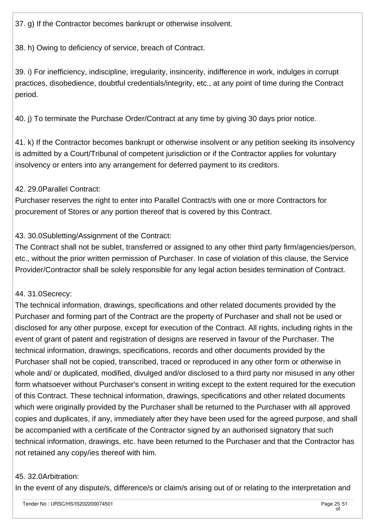37. g) If the Contractor becomes bankrupt or otherwise insolvent.

38. h) Owing to deficiency of service, breach of Contract.

39. i) For inefficiency, indiscipline, irregularity, insincerity, indifference in work, indulges in corrupt practices, disobedience, doubtful credentials/integrity, etc., at any point of time during the Contract period.

40. j) To terminate the Purchase Order/Contract at any time by giving 30 days prior notice.

41. k) If the Contractor becomes bankrupt or otherwise insolvent or any petition seeking its insolvency is admitted by a Court/Tribunal of competent jurisdiction or if the Contractor applies for voluntary insolvency or enters into any arrangement for deferred payment to its creditors.

#### 42. 29.0Parallel Contract:

Purchaser reserves the right to enter into Parallel Contract/s with one or more Contractors for procurement of Stores or any portion thereof that is covered by this Contract.

## 43. 30.0Subletting/Assignment of the Contract:

The Contract shall not be sublet, transferred or assigned to any other third party firm/agencies/person, etc., without the prior written permission of Purchaser. In case of violation of this clause, the Service Provider/Contractor shall be solely responsible for any legal action besides termination of Contract.

## 44. 31.0Secrecy:

The technical information, drawings, specifications and other related documents provided by the Purchaser and forming part of the Contract are the property of Purchaser and shall not be used or disclosed for any other purpose, except for execution of the Contract. All rights, including rights in the event of grant of patent and registration of designs are reserved in favour of the Purchaser. The technical information, drawings, specifications, records and other documents provided by the Purchaser shall not be copied, transcribed, traced or reproduced in any other form or otherwise in whole and/ or duplicated, modified, divulged and/or disclosed to a third party nor misused in any other form whatsoever without Purchaser's consent in writing except to the extent required for the execution of this Contract. These technical information, drawings, specifications and other related documents which were originally provided by the Purchaser shall be returned to the Purchaser with all approved copies and duplicates, if any, immediately after they have been used for the agreed purpose, and shall be accompanied with a certificate of the Contractor signed by an authorised signatory that such technical information, drawings, etc. have been returned to the Purchaser and that the Contractor has not retained any copy/ies thereof with him.

#### 45. 32.0Arbitration:

In the event of any dispute/s, difference/s or claim/s arising out of or relating to the interpretation and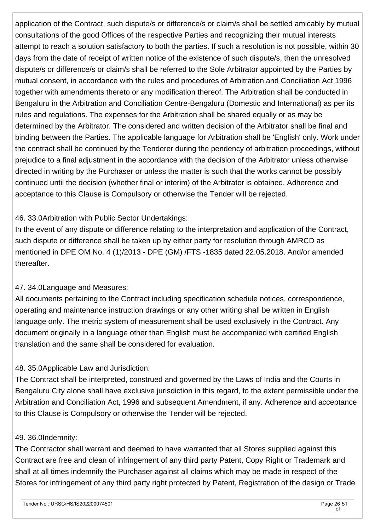application of the Contract, such dispute/s or difference/s or claim/s shall be settled amicably by mutual consultations of the good Offices of the respective Parties and recognizing their mutual interests attempt to reach a solution satisfactory to both the parties. If such a resolution is not possible, within 30 days from the date of receipt of written notice of the existence of such dispute/s, then the unresolved dispute/s or difference/s or claim/s shall be referred to the Sole Arbitrator appointed by the Parties by mutual consent, in accordance with the rules and procedures of Arbitration and Conciliation Act 1996 together with amendments thereto or any modification thereof. The Arbitration shall be conducted in Bengaluru in the Arbitration and Conciliation Centre-Bengaluru (Domestic and International) as per its rules and regulations. The expenses for the Arbitration shall be shared equally or as may be determined by the Arbitrator. The considered and written decision of the Arbitrator shall be final and binding between the Parties. The applicable language for Arbitration shall be 'English' only. Work under the contract shall be continued by the Tenderer during the pendency of arbitration proceedings, without prejudice to a final adjustment in the accordance with the decision of the Arbitrator unless otherwise directed in writing by the Purchaser or unless the matter is such that the works cannot be possibly continued until the decision (whether final or interim) of the Arbitrator is obtained. Adherence and acceptance to this Clause is Compulsory or otherwise the Tender will be rejected.

#### 46. 33.0Arbitration with Public Sector Undertakings:

In the event of any dispute or difference relating to the interpretation and application of the Contract, such dispute or difference shall be taken up by either party for resolution through AMRCD as mentioned in DPE OM No. 4 (1)/2013 - DPE (GM) /FTS -1835 dated 22.05.2018. And/or amended thereafter.

#### 47. 34.0Language and Measures:

All documents pertaining to the Contract including specification schedule notices, correspondence, operating and maintenance instruction drawings or any other writing shall be written in English language only. The metric system of measurement shall be used exclusively in the Contract. Any document originally in a language other than English must be accompanied with certified English translation and the same shall be considered for evaluation.

#### 48. 35.0Applicable Law and Jurisdiction:

The Contract shall be interpreted, construed and governed by the Laws of India and the Courts in Bengaluru City alone shall have exclusive jurisdiction in this regard, to the extent permissible under the Arbitration and Conciliation Act, 1996 and subsequent Amendment, if any. Adherence and acceptance to this Clause is Compulsory or otherwise the Tender will be rejected.

#### 49. 36.0Indemnity:

The Contractor shall warrant and deemed to have warranted that all Stores supplied against this Contract are free and clean of infringement of any third party Patent, Copy Right or Trademark and shall at all times indemnify the Purchaser against all claims which may be made in respect of the Stores for infringement of any third party right protected by Patent, Registration of the design or Trade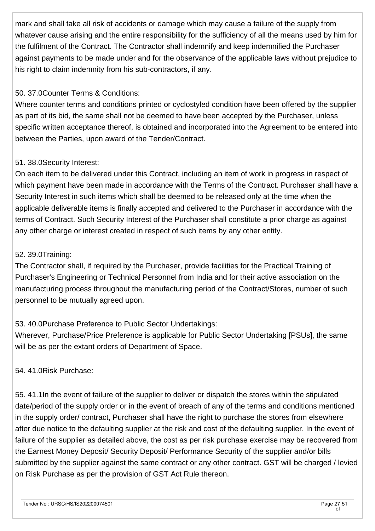mark and shall take all risk of accidents or damage which may cause a failure of the supply from whatever cause arising and the entire responsibility for the sufficiency of all the means used by him for the fulfilment of the Contract. The Contractor shall indemnify and keep indemnified the Purchaser against payments to be made under and for the observance of the applicable laws without prejudice to his right to claim indemnity from his sub-contractors, if any.

#### 50. 37.0Counter Terms & Conditions:

Where counter terms and conditions printed or cyclostyled condition have been offered by the supplier as part of its bid, the same shall not be deemed to have been accepted by the Purchaser, unless specific written acceptance thereof, is obtained and incorporated into the Agreement to be entered into between the Parties, upon award of the Tender/Contract.

#### 51. 38.0Security Interest:

On each item to be delivered under this Contract, including an item of work in progress in respect of which payment have been made in accordance with the Terms of the Contract. Purchaser shall have a Security Interest in such items which shall be deemed to be released only at the time when the applicable deliverable items is finally accepted and delivered to the Purchaser in accordance with the terms of Contract. Such Security Interest of the Purchaser shall constitute a prior charge as against any other charge or interest created in respect of such items by any other entity.

#### 52. 39.0Training:

The Contractor shall, if required by the Purchaser, provide facilities for the Practical Training of Purchaser's Engineering or Technical Personnel from India and for their active association on the manufacturing process throughout the manufacturing period of the Contract/Stores, number of such personnel to be mutually agreed upon.

## 53. 40.0Purchase Preference to Public Sector Undertakings:

Wherever, Purchase/Price Preference is applicable for Public Sector Undertaking [PSUs], the same will be as per the extant orders of Department of Space.

54. 41.0Risk Purchase:

55. 41.1In the event of failure of the supplier to deliver or dispatch the stores within the stipulated date/period of the supply order or in the event of breach of any of the terms and conditions mentioned in the supply order/ contract, Purchaser shall have the right to purchase the stores from elsewhere after due notice to the defaulting supplier at the risk and cost of the defaulting supplier. In the event of failure of the supplier as detailed above, the cost as per risk purchase exercise may be recovered from the Earnest Money Deposit/ Security Deposit/ Performance Security of the supplier and/or bills submitted by the supplier against the same contract or any other contract. GST will be charged / levied on Risk Purchase as per the provision of GST Act Rule thereon.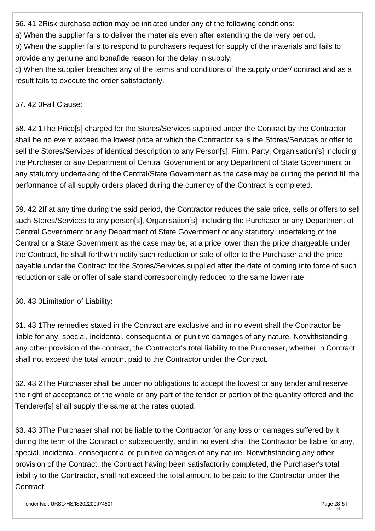56. 41.2Risk purchase action may be initiated under any of the following conditions:

a) When the supplier fails to deliver the materials even after extending the delivery period.

b) When the supplier fails to respond to purchasers request for supply of the materials and fails to provide any genuine and bonafide reason for the delay in supply.

c) When the supplier breaches any of the terms and conditions of the supply order/ contract and as a result fails to execute the order satisfactorily.

57. 42.0Fall Clause:

58. 42.1The Price[s] charged for the Stores/Services supplied under the Contract by the Contractor shall be no event exceed the lowest price at which the Contractor sells the Stores/Services or offer to sell the Stores/Services of identical description to any Person[s], Firm, Party, Organisation[s] including the Purchaser or any Department of Central Government or any Department of State Government or any statutory undertaking of the Central/State Government as the case may be during the period till the performance of all supply orders placed during the currency of the Contract is completed.

59. 42.2If at any time during the said period, the Contractor reduces the sale price, sells or offers to sell such Stores/Services to any person[s], Organisation[s], including the Purchaser or any Department of Central Government or any Department of State Government or any statutory undertaking of the Central or a State Government as the case may be, at a price lower than the price chargeable under the Contract, he shall forthwith notify such reduction or sale of offer to the Purchaser and the price payable under the Contract for the Stores/Services supplied after the date of coming into force of such reduction or sale or offer of sale stand correspondingly reduced to the same lower rate.

60. 43.0Limitation of Liability:

61. 43.1The remedies stated in the Contract are exclusive and in no event shall the Contractor be liable for any, special, incidental, consequential or punitive damages of any nature. Notwithstanding any other provision of the contract, the Contractor's total liability to the Purchaser, whether in Contract shall not exceed the total amount paid to the Contractor under the Contract.

62. 43.2The Purchaser shall be under no obligations to accept the lowest or any tender and reserve the right of acceptance of the whole or any part of the tender or portion of the quantity offered and the Tenderer[s] shall supply the same at the rates quoted.

63. 43.3The Purchaser shall not be liable to the Contractor for any loss or damages suffered by it during the term of the Contract or subsequently, and in no event shall the Contractor be liable for any, special, incidental, consequential or punitive damages of any nature. Notwithstanding any other provision of the Contract, the Contract having been satisfactorily completed, the Purchaser's total liability to the Contractor, shall not exceed the total amount to be paid to the Contractor under the Contract.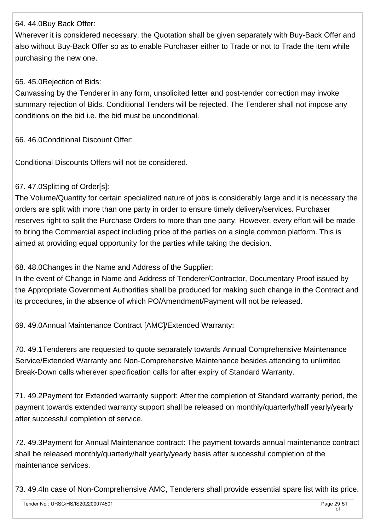#### 64. 44.0Buy Back Offer:

Wherever it is considered necessary, the Quotation shall be given separately with Buy-Back Offer and also without Buy-Back Offer so as to enable Purchaser either to Trade or not to Trade the item while purchasing the new one.

#### 65. 45.0Rejection of Bids:

Canvassing by the Tenderer in any form, unsolicited letter and post-tender correction may invoke summary rejection of Bids. Conditional Tenders will be rejected. The Tenderer shall not impose any conditions on the bid i.e. the bid must be unconditional.

66. 46.0Conditional Discount Offer:

Conditional Discounts Offers will not be considered.

#### 67. 47.0Splitting of Order[s]:

The Volume/Quantity for certain specialized nature of jobs is considerably large and it is necessary the orders are split with more than one party in order to ensure timely delivery/services. Purchaser reserves right to split the Purchase Orders to more than one party. However, every effort will be made to bring the Commercial aspect including price of the parties on a single common platform. This is aimed at providing equal opportunity for the parties while taking the decision.

68. 48.0Changes in the Name and Address of the Supplier:

In the event of Change in Name and Address of Tenderer/Contractor, Documentary Proof issued by the Appropriate Government Authorities shall be produced for making such change in the Contract and its procedures, in the absence of which PO/Amendment/Payment will not be released.

69. 49.0Annual Maintenance Contract [AMC]/Extended Warranty:

70. 49.1Tenderers are requested to quote separately towards Annual Comprehensive Maintenance Service/Extended Warranty and Non-Comprehensive Maintenance besides attending to unlimited Break-Down calls wherever specification calls for after expiry of Standard Warranty.

71. 49.2Payment for Extended warranty support: After the completion of Standard warranty period, the payment towards extended warranty support shall be released on monthly/quarterly/half yearly/yearly after successful completion of service.

72. 49.3Payment for Annual Maintenance contract: The payment towards annual maintenance contract shall be released monthly/quarterly/half yearly/yearly basis after successful completion of the maintenance services.

73. 49.4In case of Non-Comprehensive AMC, Tenderers shall provide essential spare list with its price.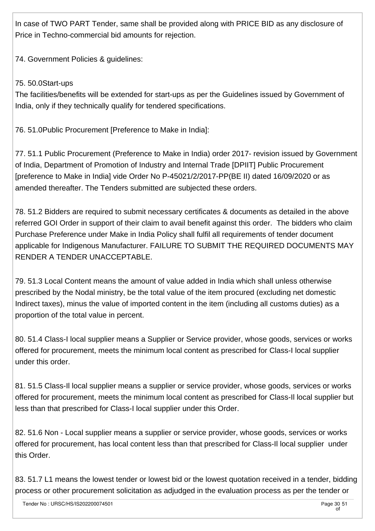In case of TWO PART Tender, same shall be provided along with PRICE BID as any disclosure of Price in Techno-commercial bid amounts for rejection.

74. Government Policies & guidelines:

#### 75. 50.0Start-ups

The facilities/benefits will be extended for start-ups as per the Guidelines issued by Government of India, only if they technically qualify for tendered specifications.

76. 51.0Public Procurement [Preference to Make in India]:

77. 51.1 Public Procurement (Preference to Make in India) order 2017- revision issued by Government of India, Department of Promotion of Industry and Internal Trade [DPIIT] Public Procurement [preference to Make in India] vide Order No P-45021/2/2017-PP(BE II) dated 16/09/2020 or as amended thereafter. The Tenders submitted are subjected these orders.

78. 51.2 Bidders are required to submit necessary certificates & documents as detailed in the above referred GOI Order in support of their claim to avail benefit against this order. The bidders who claim Purchase Preference under Make in India Policy shall fulfil all requirements of tender document applicable for Indigenous Manufacturer. FAILURE TO SUBMIT THE REQUIRED DOCUMENTS MAY RENDER A TENDER UNACCEPTABLE.

79. 51.3 Local Content means the amount of value added in India which shall unless otherwise prescribed by the Nodal ministry, be the total value of the item procured (excluding net domestic Indirect taxes), minus the value of imported content in the item (including all customs duties) as a proportion of the total value in percent.

80. 51.4 Class-I local supplier means a Supplier or Service provider, whose goods, services or works offered for procurement, meets the minimum local content as prescribed for Class-I local supplier under this order.

81. 51.5 Class-Il local supplier means a supplier or service provider, whose goods, services or works offered for procurement, meets the minimum local content as prescribed for Class-Il local supplier but less than that prescribed for Class-I local supplier under this Order.

82. 51.6 Non - Local supplier means a supplier or service provider, whose goods, services or works offered for procurement, has local content less than that prescribed for Class-Il local supplier under this Order.

83. 51.7 L1 means the lowest tender or lowest bid or the lowest quotation received in a tender, bidding process or other procurement solicitation as adjudged in the evaluation process as per the tender or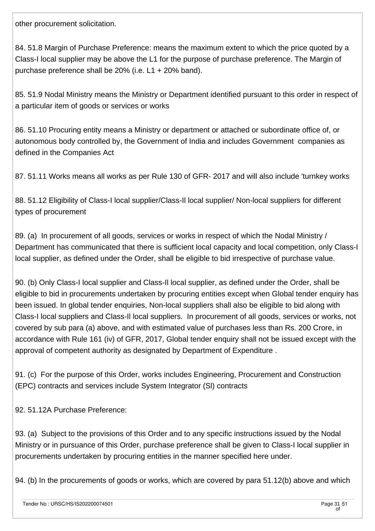other procurement solicitation.

84. 51.8 Margin of Purchase Preference: means the maximum extent to which the price quoted by a Class-I local supplier may be above the L1 for the purpose of purchase preference. The Margin of purchase preference shall be 20% (i.e. L1 + 20% band).

85. 51.9 Nodal Ministry means the Ministry or Department identified pursuant to this order in respect of a particular item of goods or services or works

86. 51.10 Procuring entity means a Ministry or department or attached or subordinate office of, or autonomous body controlled by, the Government of India and includes Government companies as defined in the Companies Act

87. 51.11 Works means all works as per Rule 130 of GFR- 2017 and will also include 'turnkey works

88. 51.12 Eligibility of Class-I local supplier/Class-Il local supplier/ Non-local suppliers for different types of procurement

89. (a) In procurement of all goods, services or works in respect of which the Nodal Ministry / Department has communicated that there is sufficient local capacity and local competition, only Class-I local supplier, as defined under the Order, shall be eligible to bid irrespective of purchase value.

90. (b) Only Class-I local supplier and Class-Il local supplier, as defined under the Order, shall be eligible to bid in procurements undertaken by procuring entities except when Global tender enquiry has been issued. In global tender enquiries, Non-local suppliers shall also be eligible to bid along with Class-I local suppliers and Class-Il local suppliers. In procurement of all goods, services or works, not covered by sub para (a) above, and with estimated value of purchases less than Rs. 200 Crore, in accordance with Rule 161 (iv) of GFR, 2017, Global tender enquiry shall not be issued except with the approval of competent authority as designated by Department of Expenditure .

91. (c) For the purpose of this Order, works includes Engineering, Procurement and Construction (EPC) contracts and services include System Integrator (Sl) contracts

92. 51.12A Purchase Preference:

93. (a) Subject to the provisions of this Order and to any specific instructions issued by the Nodal Ministry or in pursuance of this Order, purchase preference shall be given to Class-I local supplier in procurements undertaken by procuring entities in the manner specified here under.

94. (b) In the procurements of goods or works, which are covered by para 51.12(b) above and which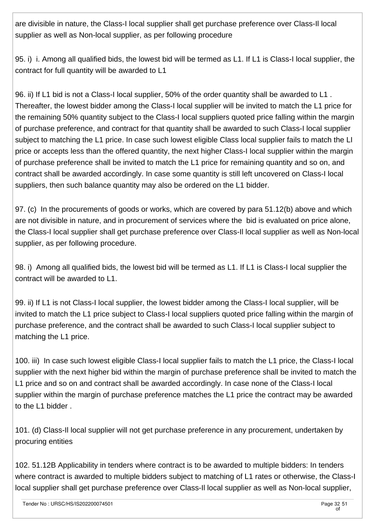are divisible in nature, the Class-I local supplier shall get purchase preference over Class-Il local supplier as well as Non-local supplier, as per following procedure

95. i) i. Among all qualified bids, the lowest bid will be termed as L1. If L1 is Class-I local supplier, the contract for full quantity will be awarded to L1

96. ii) If L1 bid is not a Class-I local supplier, 50% of the order quantity shall be awarded to L1 . Thereafter, the lowest bidder among the Class-I local supplier will be invited to match the L1 price for the remaining 50% quantity subject to the Class-I local suppliers quoted price falling within the margin of purchase preference, and contract for that quantity shall be awarded to such Class-I local supplier subject to matching the L1 price. In case such lowest eligible Class local supplier fails to match the LI price or accepts less than the offered quantity, the next higher Class-I local supplier within the margin of purchase preference shall be invited to match the L1 price for remaining quantity and so on, and contract shall be awarded accordingly. In case some quantity is still left uncovered on Class-I local suppliers, then such balance quantity may also be ordered on the L1 bidder.

97. (c) In the procurements of goods or works, which are covered by para 51.12(b) above and which are not divisible in nature, and in procurement of services where the bid is evaluated on price alone, the Class-I local supplier shall get purchase preference over Class-Il local supplier as well as Non-local supplier, as per following procedure.

98. i) Among all qualified bids, the lowest bid will be termed as L1. If L1 is Class-I local supplier the contract will be awarded to L1.

99. ii) If L1 is not Class-I local supplier, the lowest bidder among the Class-I local supplier, will be invited to match the L1 price subject to Class-I local suppliers quoted price falling within the margin of purchase preference, and the contract shall be awarded to such Class-I local supplier subject to matching the L1 price.

100. iii) In case such lowest eligible Class-I local supplier fails to match the L1 price, the Class-I local supplier with the next higher bid within the margin of purchase preference shall be invited to match the L1 price and so on and contract shall be awarded accordingly. In case none of the Class-I local supplier within the margin of purchase preference matches the L1 price the contract may be awarded to the L1 bidder .

101. (d) Class-Il local supplier will not get purchase preference in any procurement, undertaken by procuring entities

102. 51.12B Applicability in tenders where contract is to be awarded to multiple bidders: In tenders where contract is awarded to multiple bidders subject to matching of L1 rates or otherwise, the Class-I local supplier shall get purchase preference over Class-Il local supplier as well as Non-local supplier,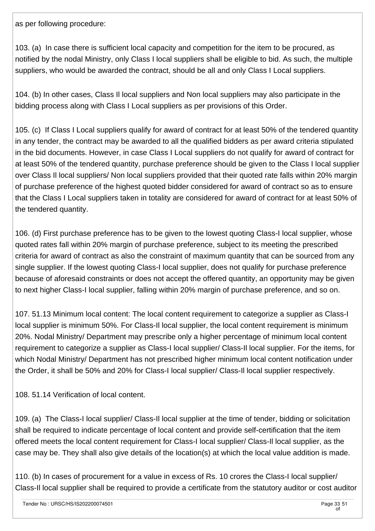as per following procedure:

103. (a) In case there is sufficient local capacity and competition for the item to be procured, as notified by the nodal Ministry, only Class I local suppliers shall be eligible to bid. As such, the multiple suppliers, who would be awarded the contract, should be all and only Class I Local suppliers.

104. (b) In other cases, Class Il local suppliers and Non local suppliers may also participate in the bidding process along with Class I Local suppliers as per provisions of this Order.

105. (c) If Class I Local suppliers qualify for award of contract for at least 50% of the tendered quantity in any tender, the contract may be awarded to all the qualified bidders as per award criteria stipulated in the bid documents. However, in case Class I Local suppliers do not qualify for award of contract for at least 50% of the tendered quantity, purchase preference should be given to the Class I local supplier over Class Il local suppliers/ Non local suppliers provided that their quoted rate falls within 20% margin of purchase preference of the highest quoted bidder considered for award of contract so as to ensure that the Class I Local suppliers taken in totality are considered for award of contract for at least 50% of the tendered quantity.

106. (d) First purchase preference has to be given to the lowest quoting Class-I local supplier, whose quoted rates fall within 20% margin of purchase preference, subject to its meeting the prescribed criteria for award of contract as also the constraint of maximum quantity that can be sourced from any single supplier. If the lowest quoting Class-I local supplier, does not qualify for purchase preference because of aforesaid constraints or does not accept the offered quantity, an opportunity may be given to next higher Class-I local supplier, falling within 20% margin of purchase preference, and so on.

107. 51.13 Minimum local content: The local content requirement to categorize a supplier as Class-I local supplier is minimum 50%. For Class-Il local supplier, the local content requirement is minimum 20%. Nodal Ministry/ Department may prescribe only a higher percentage of minimum local content requirement to categorize a supplier as Class-I local supplier/ Class-Il local supplier. For the items, for which Nodal Ministry/ Department has not prescribed higher minimum local content notification under the Order, it shall be 50% and 20% for Class-I local supplier/ Class-Il local supplier respectively.

108. 51.14 Verification of local content.

109. (a) The Class-I local supplier/ Class-Il local supplier at the time of tender, bidding or solicitation shall be required to indicate percentage of local content and provide self-certification that the item offered meets the local content requirement for Class-I local supplier/ Class-Il local supplier, as the case may be. They shall also give details of the location(s) at which the local value addition is made.

110. (b) In cases of procurement for a value in excess of Rs. 10 crores the Class-I local supplier/ Class-Il local supplier shall be required to provide a certificate from the statutory auditor or cost auditor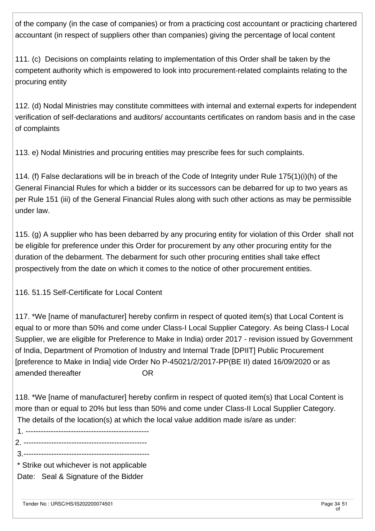of the company (in the case of companies) or from a practicing cost accountant or practicing chartered accountant (in respect of suppliers other than companies) giving the percentage of local content

111. (c) Decisions on complaints relating to implementation of this Order shall be taken by the competent authority which is empowered to look into procurement-related complaints relating to the procuring entity

112. (d) Nodal Ministries may constitute committees with internal and external experts for independent verification of self-declarations and auditors/ accountants certificates on random basis and in the case of complaints

113. e) Nodal Ministries and procuring entities may prescribe fees for such complaints.

114. (f) False declarations will be in breach of the Code of Integrity under Rule 175(1)(i)(h) of the General Financial Rules for which a bidder or its successors can be debarred for up to two years as per Rule 151 (iii) of the General Financial Rules along with such other actions as may be permissible under law.

115. (g) A supplier who has been debarred by any procuring entity for violation of this Order shall not be eligible for preference under this Order for procurement by any other procuring entity for the duration of the debarment. The debarment for such other procuring entities shall take effect prospectively from the date on which it comes to the notice of other procurement entities.

116. 51.15 Self-Certificate for Local Content

117. \*We [name of manufacturer] hereby confirm in respect of quoted item(s) that Local Content is equal to or more than 50% and come under Class-I Local Supplier Category. As being Class-I Local Supplier, we are eligible for Preference to Make in India) order 2017 - revision issued by Government of India, Department of Promotion of Industry and Internal Trade [DPIIT] Public Procurement [preference to Make in India] vide Order No P-45021/2/2017-PP(BE II) dated 16/09/2020 or as amended thereafter The Controller Controller

118. \*We [name of manufacturer] hereby confirm in respect of quoted item(s) that Local Content is more than or equal to 20% but less than 50% and come under Class-II Local Supplier Category. The details of the location(s) at which the local value addition made is/are as under:

- 1. -------------------------------------------------
- 2. -------------------------------------------------
- 3.--------------------------------------------------

 \* Strike out whichever is not applicable Date: Seal & Signature of the Bidder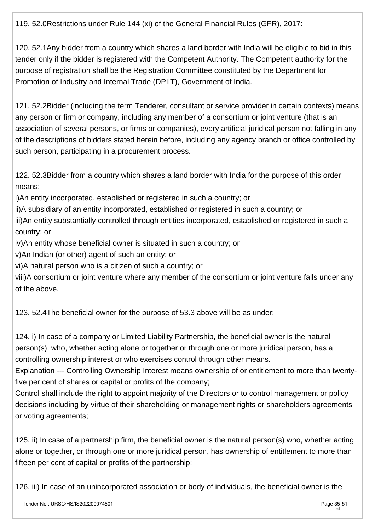119. 52.0Restrictions under Rule 144 (xi) of the General Financial Rules (GFR), 2017:

120. 52.1Any bidder from a country which shares a land border with India will be eligible to bid in this tender only if the bidder is registered with the Competent Authority. The Competent authority for the purpose of registration shall be the Registration Committee constituted by the Department for Promotion of Industry and Internal Trade (DPIIT), Government of India.

121. 52.2Bidder (including the term Tenderer, consultant or service provider in certain contexts) means any person or firm or company, including any member of a consortium or joint venture (that is an association of several persons, or firms or companies), every artificial juridical person not falling in any of the descriptions of bidders stated herein before, including any agency branch or office controlled by such person, participating in a procurement process.

122. 52.3Bidder from a country which shares a land border with India for the purpose of this order means:

i)An entity incorporated, established or registered in such a country; or

ii)A subsidiary of an entity incorporated, established or registered in such a country; or

iii)An entity substantially controlled through entities incorporated, established or registered in such a country; or

iv)An entity whose beneficial owner is situated in such a country; or

v)An Indian (or other) agent of such an entity; or

vi)A natural person who is a citizen of such a country; or

viii)A consortium or joint venture where any member of the consortium or joint venture falls under any of the above.

123. 52.4The beneficial owner for the purpose of 53.3 above will be as under:

124. i) In case of a company or Limited Liability Partnership, the beneficial owner is the natural person(s), who, whether acting alone or together or through one or more juridical person, has a controlling ownership interest or who exercises control through other means.

Explanation --- Controlling Ownership Interest means ownership of or entitlement to more than twentyfive per cent of shares or capital or profits of the company;

Control shall include the right to appoint majority of the Directors or to control management or policy decisions including by virtue of their shareholding or management rights or shareholders agreements or voting agreements;

125. ii) In case of a partnership firm, the beneficial owner is the natural person(s) who, whether acting alone or together, or through one or more juridical person, has ownership of entitlement to more than fifteen per cent of capital or profits of the partnership;

126. iii) In case of an unincorporated association or body of individuals, the beneficial owner is the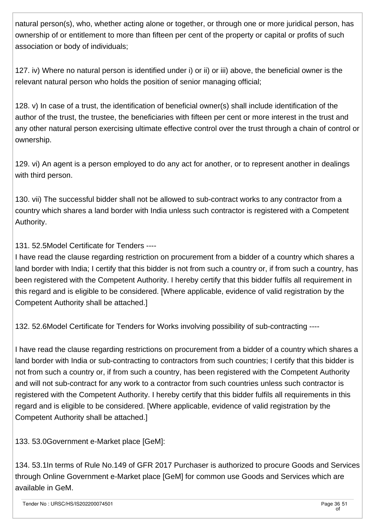natural person(s), who, whether acting alone or together, or through one or more juridical person, has ownership of or entitlement to more than fifteen per cent of the property or capital or profits of such association or body of individuals;

127. iv) Where no natural person is identified under i) or ii) or iii) above, the beneficial owner is the relevant natural person who holds the position of senior managing official;

128. v) In case of a trust, the identification of beneficial owner(s) shall include identification of the author of the trust, the trustee, the beneficiaries with fifteen per cent or more interest in the trust and any other natural person exercising ultimate effective control over the trust through a chain of control or ownership.

129. vi) An agent is a person employed to do any act for another, or to represent another in dealings with third person.

130. vii) The successful bidder shall not be allowed to sub-contract works to any contractor from a country which shares a land border with India unless such contractor is registered with a Competent Authority.

131. 52.5Model Certificate for Tenders ----

I have read the clause regarding restriction on procurement from a bidder of a country which shares a land border with India; I certify that this bidder is not from such a country or, if from such a country, has been registered with the Competent Authority. I hereby certify that this bidder fulfils all requirement in this regard and is eligible to be considered. [Where applicable, evidence of valid registration by the Competent Authority shall be attached.]

132. 52.6Model Certificate for Tenders for Works involving possibility of sub-contracting ----

I have read the clause regarding restrictions on procurement from a bidder of a country which shares a land border with India or sub-contracting to contractors from such countries; I certify that this bidder is not from such a country or, if from such a country, has been registered with the Competent Authority and will not sub-contract for any work to a contractor from such countries unless such contractor is registered with the Competent Authority. I hereby certify that this bidder fulfils all requirements in this regard and is eligible to be considered. [Where applicable, evidence of valid registration by the Competent Authority shall be attached.]

133. 53.0Government e-Market place [GeM]:

134. 53.1In terms of Rule No.149 of GFR 2017 Purchaser is authorized to procure Goods and Services through Online Government e-Market place [GeM] for common use Goods and Services which are available in GeM.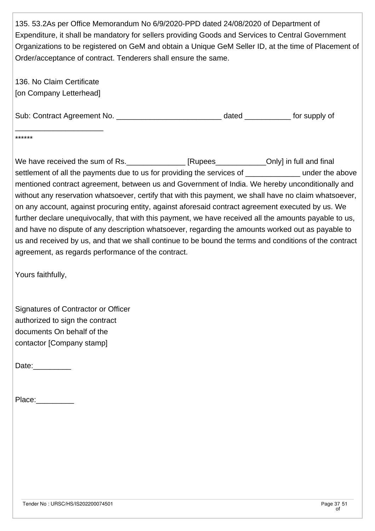135. 53.2As per Office Memorandum No 6/9/2020-PPD dated 24/08/2020 of Department of Expenditure, it shall be mandatory for sellers providing Goods and Services to Central Government Organizations to be registered on GeM and obtain a Unique GeM Seller ID, at the time of Placement of Order/acceptance of contract. Tenderers shall ensure the same.

136. No Claim Certificate [on Company Letterhead]

\_\_\_\_\_\_\_\_\_\_\_\_\_\_\_\_\_\_\_\_\_

Sub: Contract Agreement No. **Example 20** ated the supply of

\*\*\*\*\*\*

We have received the sum of Rs. \_\_\_\_\_\_\_\_\_\_\_\_\_\_\_ [Rupees\_\_\_\_\_\_\_\_\_\_\_\_\_Only] in full and final settlement of all the payments due to us for providing the services of electron under the above mentioned contract agreement, between us and Government of India. We hereby unconditionally and without any reservation whatsoever, certify that with this payment, we shall have no claim whatsoever, on any account, against procuring entity, against aforesaid contract agreement executed by us. We further declare unequivocally, that with this payment, we have received all the amounts payable to us, and have no dispute of any description whatsoever, regarding the amounts worked out as payable to us and received by us, and that we shall continue to be bound the terms and conditions of the contract agreement, as regards performance of the contract.

Yours faithfully,

Signatures of Contractor or Officer authorized to sign the contract documents On behalf of the contactor [Company stamp]

Date:

Place: \_\_\_\_\_\_\_\_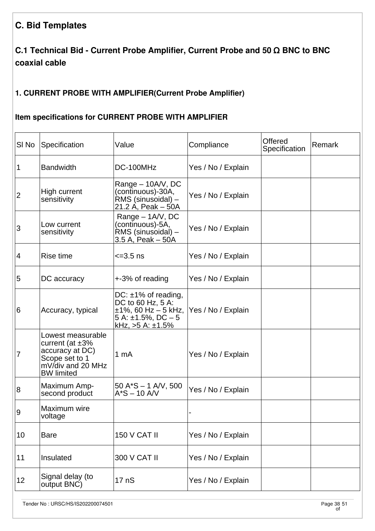## **C. Bid Templates**

## **C.1 Technical Bid - Current Probe Amplifier, Current Probe and 50 Ω BNC to BNC coaxial cable**

#### **1. CURRENT PROBE WITH AMPLIFIER(Current Probe Amplifier)**

#### **Item specifications for CURRENT PROBE WITH AMPLIFIER**

| SI <sub>No</sub> | Specification                                                                                                             | Value                                                                                                                             | Compliance         | <b>Offered</b><br>Specification | <b>Remark</b> |
|------------------|---------------------------------------------------------------------------------------------------------------------------|-----------------------------------------------------------------------------------------------------------------------------------|--------------------|---------------------------------|---------------|
| 1                | <b>Bandwidth</b>                                                                                                          | DC-100MHz                                                                                                                         | Yes / No / Explain |                                 |               |
| 2                | High current<br>sensitivity                                                                                               | Range – 10A/V, DC<br>(continuous)-30A,<br>RMS (sinusoidal) -<br>21.2 A, Peak - 50A                                                | Yes / No / Explain |                                 |               |
| 3                | Low current<br>sensitivity                                                                                                | Range - 1A/V, DC<br>(continuous)-5A,<br>RMS (sinusoidal) -<br>3.5 A, Peak – 50A                                                   | Yes / No / Explain |                                 |               |
| 4                | Rise time                                                                                                                 | $\leq 3.5$ ns                                                                                                                     | Yes / No / Explain |                                 |               |
| 5                | DC accuracy                                                                                                               | +-3% of reading                                                                                                                   | Yes / No / Explain |                                 |               |
| 6                | Accuracy, typical                                                                                                         | DC: $\pm$ 1% of reading,<br>DC to 60 Hz, 5 A:<br>$±1\%$ , 60 Hz - 5 kHz,<br>$5$ A: $\pm$ 1.5%, DC $-5$<br>kHz, $>5$ A: $\pm$ 1.5% | Yes / No / Explain |                                 |               |
| 7                | Lowest measurable<br>current (at $\pm 3\%$<br>accuracy at DC)<br>Scope set to 1<br>mV/div and 20 MHz<br><b>BW</b> limited | 1 mA                                                                                                                              | Yes / No / Explain |                                 |               |
| 8                | Maximum Amp-<br>second product                                                                                            | $50 A^*S - 1 A/V$ , 500<br>$A*S - 10 AVV$                                                                                         | Yes / No / Explain |                                 |               |
| Ι9               | Maximum wire<br>voltage                                                                                                   |                                                                                                                                   |                    |                                 |               |
| 10               | <b>Bare</b>                                                                                                               | <b>150 V CAT II</b>                                                                                                               | Yes / No / Explain |                                 |               |
| 11               | Insulated                                                                                                                 | 300 V CAT II                                                                                                                      | Yes / No / Explain |                                 |               |
| 12               | Signal delay (to<br>output BNC)                                                                                           | 17 nS                                                                                                                             | Yes / No / Explain |                                 |               |

Tender No : URSC/HS/IS202200074501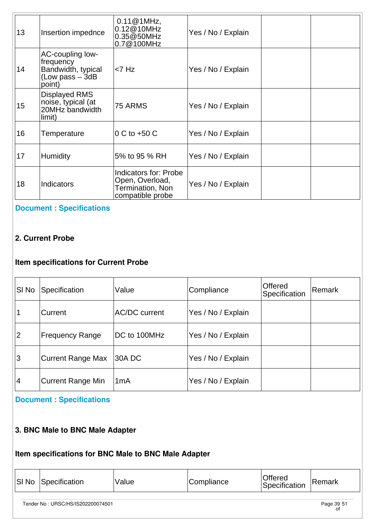| 13 | Insertion impednce                                                                  | $0.11@1MHz$ ,<br>0.12@10MHz<br>0.35@50MHz<br>0.7@100MHz                          | Yes / No / Explain |  |
|----|-------------------------------------------------------------------------------------|----------------------------------------------------------------------------------|--------------------|--|
| 14 | AC-coupling low-<br>frequency<br>Bandwidth, typical<br>$(Low pass - 3dB)$<br>point) | $<$ 7 Hz                                                                         | Yes / No / Explain |  |
| 15 | Displayed RMS<br>noise, typical (at<br>20MHz bandwidth<br>limit)                    | 75 ARMS                                                                          | Yes / No / Explain |  |
| 16 | Temperature                                                                         | 0 C to +50 C                                                                     | Yes / No / Explain |  |
| 17 | Humidity                                                                            | 5% to 95 % RH                                                                    | Yes / No / Explain |  |
| 18 | <b>Indicators</b>                                                                   | Indicators for: Probe<br>Open, Overload,<br>Termination, Non<br>compatible probe | Yes / No / Explain |  |

#### **[Document : Specifications](https://eproc.isro.gov.in/common/viewDocument?id=ff808181809254d40180ad32437c19e0&indentId=IS2022000745)**

#### **2. Current Probe**

## **Item specifications for Current Probe**

| SI No       | Specification          | Value                | Compliance         | <b>Offered</b><br>Specification | Remark |
|-------------|------------------------|----------------------|--------------------|---------------------------------|--------|
| $\mathbf 1$ | lCurrent               | <b>AC/DC current</b> | Yes / No / Explain |                                 |        |
| 2           | <b>Frequency Range</b> | DC to 100MHz         | Yes / No / Explain |                                 |        |
| Ι3          | Current Range Max      | 30A DC               | Yes / No / Explain |                                 |        |
| 14          | Current Range Min      | 1 <sub>m</sub> A     | Yes / No / Explain |                                 |        |

## **[Document : Specifications](https://eproc.isro.gov.in/common/viewDocument?id=ff808181809254d40180ad32c21a19ea&indentId=IS2022000745)**

#### **3. BNC Male to BNC Male Adapter**

## **Item specifications for BNC Male to BNC Male Adapter**

|  | $ S $ No | Specification | Value | Compliance | Offered<br>Specification | ∣Remark |
|--|----------|---------------|-------|------------|--------------------------|---------|
|--|----------|---------------|-------|------------|--------------------------|---------|

Tender No : URSC/HS/IS202200074501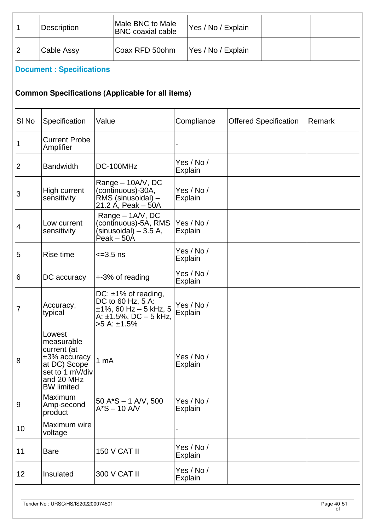| Description | Male BNC to Male<br><b>BNC</b> coaxial cable | Yes / No / Explain |  |
|-------------|----------------------------------------------|--------------------|--|
| Cable Assy  | Coax RFD 50ohm                               | Yes / No / Explain |  |

# **[Document : Specifications](https://eproc.isro.gov.in/common/viewDocument?id=ff808181809254d40180ad33541f19ed&indentId=IS2022000745)**

## **Common Specifications (Applicable for all items)**

| SI No          | Specification                                                                                                             | Value                                                                                                                         | Compliance                   | <b>Offered Specification</b> | Remark |
|----------------|---------------------------------------------------------------------------------------------------------------------------|-------------------------------------------------------------------------------------------------------------------------------|------------------------------|------------------------------|--------|
| 1              | <b>Current Probe</b><br>Amplifier                                                                                         |                                                                                                                               |                              |                              |        |
| $\overline{2}$ | Bandwidth                                                                                                                 | DC-100MHz                                                                                                                     | Yes / No /<br><b>Explain</b> |                              |        |
| 3              | High current<br>sensitivity                                                                                               | Range - 10A/V, DC<br>(continuous)-30A,<br>RMS (sinusoidal) -<br>21.2 A, Peak $-50A$                                           | Yes / No /<br><b>Explain</b> |                              |        |
| 4              | Low current<br>sensitivity                                                                                                | Range - 1A/V, DC<br>(continuous)-5A, RMS<br>(sinusoidal) – 3.5 A,<br>Peak - 50A                                               | Yes / No /<br><b>Explain</b> |                              |        |
| 5              | Rise time                                                                                                                 | $\leq$ = 3.5 ns                                                                                                               | Yes / No /<br><b>Explain</b> |                              |        |
| 6              | DC accuracy                                                                                                               | +-3% of reading                                                                                                               | Yes / No /<br><b>Explain</b> |                              |        |
| 7              | Accuracy,<br>typical                                                                                                      | DC: $\pm$ 1% of reading,<br>DC to 60 Hz, 5 A:<br>$±1\%$ , 60 Hz - 5 kHz, 5<br>A: $\pm$ 1.5%, DC $-$ 5 kHz,<br>$>5$ A: $±1.5%$ | Yes / No /<br><b>Explain</b> |                              |        |
| 8              | Lowest<br>measurable<br>current (at<br>±3% accuracy<br>at DC) Scope<br>set to 1 mV/div<br>and 20 MHz<br><b>BW</b> limited | 1 <sub>mA</sub>                                                                                                               | Yes / No /<br><b>Explain</b> |                              |        |
| $\overline{9}$ | Maximum<br>Amp-second<br>product                                                                                          | $50 A*S - 1 A/V$ , 500<br>$A*S - 10 AVV$                                                                                      | Yes / No /<br><b>Explain</b> |                              |        |
| 10             | Maximum wire<br>voltage                                                                                                   |                                                                                                                               |                              |                              |        |
| 11             | <b>Bare</b>                                                                                                               | <b>150 V CAT II</b>                                                                                                           | Yes / No /<br>Explain        |                              |        |
| 12             | Insulated                                                                                                                 | 300 V CAT II                                                                                                                  | Yes / No /<br><b>Explain</b> |                              |        |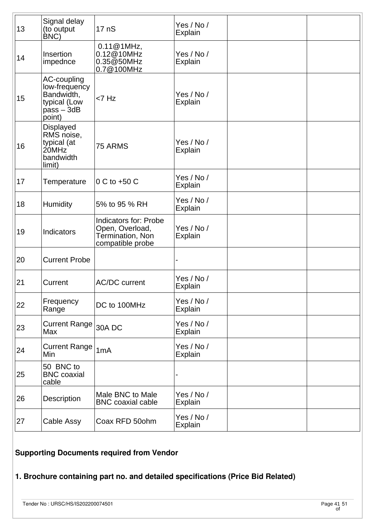| 13 | Signal delay<br>(to output<br>BNC)                                                   | 17 <sub>n</sub> S                                                                | Yes / No /<br><b>Explain</b> |  |
|----|--------------------------------------------------------------------------------------|----------------------------------------------------------------------------------|------------------------------|--|
| 14 | Insertion<br>impednce                                                                | 0.11@1MHz,<br>0.12@10MHz<br>0.35@50MHz<br>0.7@100MHz                             | Yes / No /<br><b>Explain</b> |  |
| 15 | AC-coupling<br>low-frequency<br>Bandwidth,<br>typical (Low<br>$pass - 3dB$<br>point) | $<$ 7 Hz                                                                         | Yes / No /<br>Explain        |  |
| 16 | Displayed<br>RMS noise,<br>typical (at<br>20MHz<br>bandwidth<br>limit)               | 75 ARMS                                                                          | Yes / No /<br><b>Explain</b> |  |
| 17 | Temperature                                                                          | $0 \text{ C}$ to +50 $\text{C}$                                                  | Yes / No /<br>Explain        |  |
| 18 | Humidity                                                                             | 5% to 95 % RH                                                                    | Yes / No /<br>Explain        |  |
| 19 | Indicators                                                                           | Indicators for: Probe<br>Open, Overload,<br>Termination, Non<br>compatible probe | Yes / No /<br>Explain        |  |
| 20 | <b>Current Probe</b>                                                                 |                                                                                  |                              |  |
| 21 | Current                                                                              | <b>AC/DC current</b>                                                             | Yes / No /<br><b>Explain</b> |  |
| 22 | Frequency<br>Range                                                                   | DC to 100MHz                                                                     | Yes / No /<br>Explain        |  |
| 23 | Current Range<br>Max                                                                 | 30A DC                                                                           | Yes / No /<br>Explain        |  |
| 24 | <b>Current Range</b><br>Min                                                          | 1mA                                                                              | Yes / No /<br>Explain        |  |
| 25 | 50 BNC to<br><b>BNC</b> coaxial<br>cable                                             |                                                                                  |                              |  |
| 26 | Description                                                                          | Male BNC to Male<br><b>BNC</b> coaxial cable                                     | Yes / No /<br><b>Explain</b> |  |
| 27 | Cable Assy                                                                           | Coax RFD 50ohm                                                                   | Yes / No /<br><b>Explain</b> |  |

## **Supporting Documents required from Vendor**

# **1. Brochure containing part no. and detailed specifications (Price Bid Related)**

Tender No : URSC/HS/IS202200074501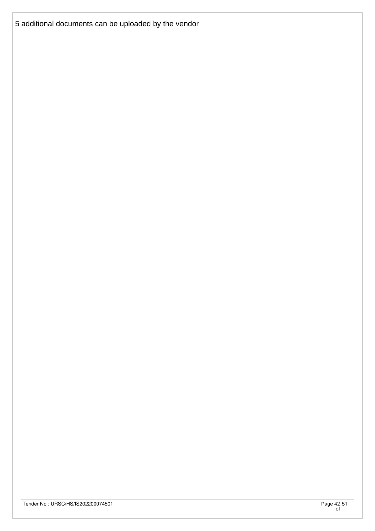5 additional documents can be uploaded by the vendor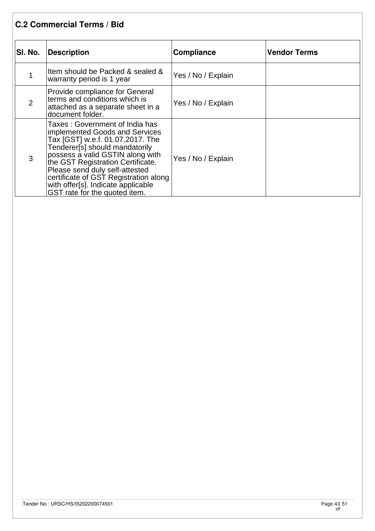## **C.2 Commercial Terms / Bid**

| SI. No.        | Description                                                                                                                                                                                                                                                                                                                                                        | Compliance         | <b>Vendor Terms</b> |
|----------------|--------------------------------------------------------------------------------------------------------------------------------------------------------------------------------------------------------------------------------------------------------------------------------------------------------------------------------------------------------------------|--------------------|---------------------|
|                | Item should be Packed & sealed &<br>warranty period is 1 year                                                                                                                                                                                                                                                                                                      | Yes / No / Explain |                     |
| $\overline{2}$ | Provide compliance for General<br>terms and conditions which is<br>attached as a separate sheet in a<br>document folder.                                                                                                                                                                                                                                           | Yes / No / Explain |                     |
| 3              | Taxes : Government of India has<br>implemented Goods and Services<br>Tax [GST] w.e.f. 01.07.2017. The<br>Tenderer[s] should mandatorily<br>possess a valid GSTIN along with<br>the GST Registration Certificate.<br>Please send duly self-attested<br>certificate of GST Registration along<br>with offer[s]. Indicate applicable<br>GST rate for the quoted item. | Yes / No / Explain |                     |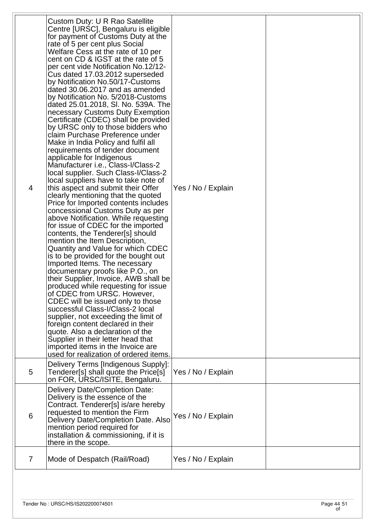| 4 | Custom Duty: U R Rao Satellite<br>Centre [URSC], Bengaluru is eligible<br>for payment of Customs Duty at the<br>rate of 5 per cent plus Social<br>Welfare Cess at the rate of 10 per<br>cent on CD & IGST at the rate of 5<br>per cent vide Notification No.12/12-<br>Cus dated 17.03.2012 superseded<br>by Notification No.50/17-Customs<br>dated 30.06.2017 and as amended<br>by Notification No. 5/2018-Customs<br>dated 25.01.2018, SI. No. 539A. The<br>necessary Customs Duty Exemption<br>Certificate (CDEC) shall be provided<br>by URSC only to those bidders who<br>claim Purchase Preference under<br>Make in India Policy and fulfil all<br>requirements of tender document<br>applicable for Indigenous<br>Manufacturer i.e., Class-I/Class-2<br>local supplier. Such Class-I/Class-2<br>local suppliers have to take note of<br>this aspect and submit their Offer<br>clearly mentioning that the quoted<br>Price for Imported contents includes<br>concessional Customs Duty as per<br>above Notification. While requesting<br>for issue of CDEC for the imported<br>contents, the Tenderer[s] should<br>mention the Item Description,<br>Quantity and Value for which CDEC<br>is to be provided for the bought out<br>Imported Items. The necessary<br>documentary proofs like P.O., on<br>their Supplier, Invoice, AWB shall be<br>produced while requesting for issue<br>of CDEC from URSC. However,<br>CDEC will be issued only to those<br>successful Class-I/Class-2 local<br>supplier, not exceeding the limit of<br>foreign content declared in their<br>quote. Also a declaration of the<br>Supplier in their letter head that<br>imported items in the Invoice are<br>used for realization of ordered items. | Yes / No / Explain |  |
|---|---------------------------------------------------------------------------------------------------------------------------------------------------------------------------------------------------------------------------------------------------------------------------------------------------------------------------------------------------------------------------------------------------------------------------------------------------------------------------------------------------------------------------------------------------------------------------------------------------------------------------------------------------------------------------------------------------------------------------------------------------------------------------------------------------------------------------------------------------------------------------------------------------------------------------------------------------------------------------------------------------------------------------------------------------------------------------------------------------------------------------------------------------------------------------------------------------------------------------------------------------------------------------------------------------------------------------------------------------------------------------------------------------------------------------------------------------------------------------------------------------------------------------------------------------------------------------------------------------------------------------------------------------------------------------------------------------------------------------------------|--------------------|--|
| 5 | Delivery Terms [Indigenous Supply]:<br>Tenderer[s] shall quote the Price[s]<br>on FOR, URSC/ISITE, Bengaluru.                                                                                                                                                                                                                                                                                                                                                                                                                                                                                                                                                                                                                                                                                                                                                                                                                                                                                                                                                                                                                                                                                                                                                                                                                                                                                                                                                                                                                                                                                                                                                                                                                         | Yes / No / Explain |  |
| 6 | <b>Delivery Date/Completion Date:</b><br>Delivery is the essence of the<br>Contract. Tenderer[s] is/are hereby<br>requested to mention the Firm<br>Delivery Date/Completion Date. Also<br>mention period required for<br>installation & commissioning, if it is<br>there in the scope.                                                                                                                                                                                                                                                                                                                                                                                                                                                                                                                                                                                                                                                                                                                                                                                                                                                                                                                                                                                                                                                                                                                                                                                                                                                                                                                                                                                                                                                | Yes / No / Explain |  |
| 7 | Mode of Despatch (Rail/Road)                                                                                                                                                                                                                                                                                                                                                                                                                                                                                                                                                                                                                                                                                                                                                                                                                                                                                                                                                                                                                                                                                                                                                                                                                                                                                                                                                                                                                                                                                                                                                                                                                                                                                                          | Yes / No / Explain |  |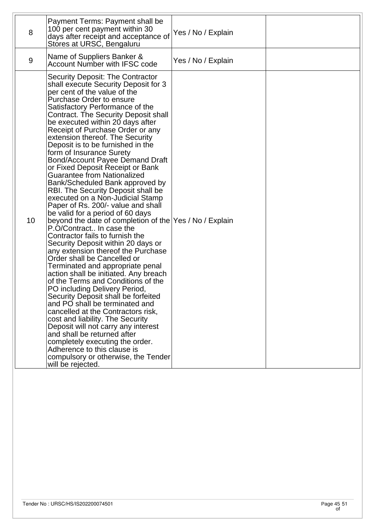| 8               | Payment Terms: Payment shall be<br>100 per cent payment within 30<br>days after receipt and acceptance of<br>Stores at URSC, Bengaluru                                                                                                                                                                                                                                                                                                                                                                                                                                                                                                                                                                                                                                                                                                                                                                                                                                                                                                                                                                                                                                                                                                                                                                                                                                                                                                                        | Yes / No / Explain |  |
|-----------------|---------------------------------------------------------------------------------------------------------------------------------------------------------------------------------------------------------------------------------------------------------------------------------------------------------------------------------------------------------------------------------------------------------------------------------------------------------------------------------------------------------------------------------------------------------------------------------------------------------------------------------------------------------------------------------------------------------------------------------------------------------------------------------------------------------------------------------------------------------------------------------------------------------------------------------------------------------------------------------------------------------------------------------------------------------------------------------------------------------------------------------------------------------------------------------------------------------------------------------------------------------------------------------------------------------------------------------------------------------------------------------------------------------------------------------------------------------------|--------------------|--|
| 9               | Name of Suppliers Banker &<br>Account Number with IFSC code                                                                                                                                                                                                                                                                                                                                                                                                                                                                                                                                                                                                                                                                                                                                                                                                                                                                                                                                                                                                                                                                                                                                                                                                                                                                                                                                                                                                   | Yes / No / Explain |  |
| 10 <sup>1</sup> | <b>Security Deposit: The Contractor</b><br>shall execute Security Deposit for 3<br>per cent of the value of the<br>Purchase Order to ensure<br>Satisfactory Performance of the<br>Contract. The Security Deposit shall<br>be executed within 20 days after<br>Receipt of Purchase Order or any<br>extension thereof. The Security<br>Deposit is to be furnished in the<br>form of Insurance Surety<br><b>Bond/Account Payee Demand Draft</b><br>or Fixed Deposit Receipt or Bank<br><b>Guarantee from Nationalized</b><br>Bank/Scheduled Bank approved by<br>RBI. The Security Deposit shall be<br>executed on a Non-Judicial Stamp<br>Paper of Rs. 200/- value and shall<br>be valid for a period of 60 days<br>beyond the date of completion of the Yes / No / Explain<br>P.O/Contract In case the<br>Contractor fails to furnish the<br>Security Deposit within 20 days or<br>any extension thereof the Purchase<br>Order shall be Cancelled or<br>Terminated and appropriate penal<br>action shall be initiated. Any breach<br>of the Terms and Conditions of the<br>PO including Delivery Period,<br>Security Deposit shall be forfeited<br>and PO shall be terminated and<br>cancelled at the Contractors risk,<br>cost and liability. The Security<br>Deposit will not carry any interest<br>and shall be returned after<br>completely executing the order.<br>Adherence to this clause is<br>compulsory or otherwise, the Tender<br>will be rejected. |                    |  |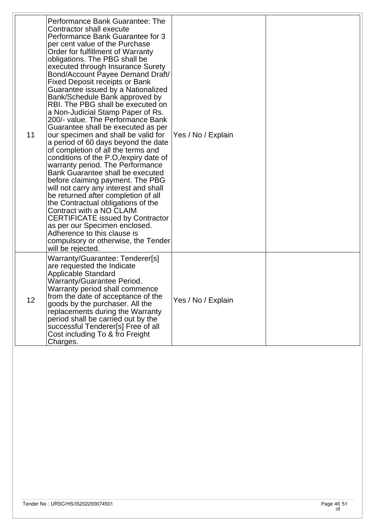| 11 | Performance Bank Guarantee: The<br>Contractor shall execute<br>Performance Bank Guarantee for 3<br>per cent value of the Purchase<br>Order for fulfillment of Warranty<br>obligations. The PBG shall be<br>executed through Insurance Surety<br>Bond/Account Payee Demand Draft/<br><b>Fixed Deposit receipts or Bank</b><br>Guarantee issued by a Nationalized<br>Bank/Schedule Bank approved by<br>RBI. The PBG shall be executed on<br>a Non-Judicial Stamp Paper of Rs.<br>200/- value. The Performance Bank<br>Guarantee shall be executed as per<br>our specimen and shall be valid for<br>a period of 60 days beyond the date<br>of completion of all the terms and<br>conditions of the P.O,/expiry date of<br>warranty period. The Performance<br>Bank Guarantee shall be executed<br>before claiming payment. The PBG<br>will not carry any interest and shall<br>be returned after completion of all<br>the Contractual obligations of the<br>Contract with a NO CLAIM<br><b>CERTIFICATE issued by Contractor</b><br>as per our Specimen enclosed.<br>Adherence to this clause is<br>compulsory or otherwise, the Tender<br>will be rejected. | Yes / No / Explain |  |
|----|----------------------------------------------------------------------------------------------------------------------------------------------------------------------------------------------------------------------------------------------------------------------------------------------------------------------------------------------------------------------------------------------------------------------------------------------------------------------------------------------------------------------------------------------------------------------------------------------------------------------------------------------------------------------------------------------------------------------------------------------------------------------------------------------------------------------------------------------------------------------------------------------------------------------------------------------------------------------------------------------------------------------------------------------------------------------------------------------------------------------------------------------------------|--------------------|--|
| 12 | Warranty/Guarantee: Tenderer[s]<br>are requested the Indicate<br>Applicable Standard<br>Warranty/Guarantee Period.<br>Warranty period shall commence<br>from the date of acceptance of the<br>goods by the purchaser. All the<br>replacements during the Warranty<br>period shall be carried out by the<br>successful Tenderer[s] Free of all<br>Cost including To & fro Freight<br>Charges.                                                                                                                                                                                                                                                                                                                                                                                                                                                                                                                                                                                                                                                                                                                                                             | Yes / No / Explain |  |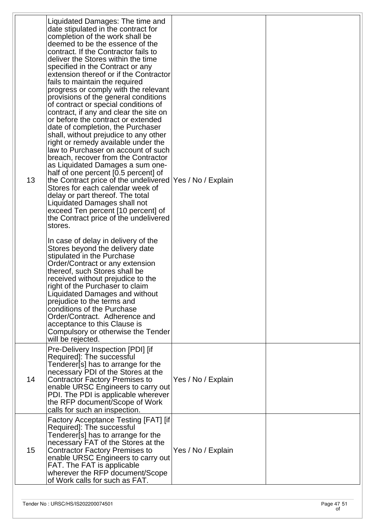| 13 | Liquidated Damages: The time and<br>date stipulated in the contract for<br>completion of the work shall be<br>deemed to be the essence of the<br>contract. If the Contractor fails to<br>deliver the Stores within the time<br>specified in the Contract or any<br>extension thereof or if the Contractor<br>fails to maintain the required<br>progress or comply with the relevant<br>provisions of the general conditions<br>of contract or special conditions of<br>contract, if any and clear the site on<br>or before the contract or extended<br>date of completion, the Purchaser<br>shall, without prejudice to any other<br>right or remedy available under the<br>law to Purchaser on account of such<br>breach, recover from the Contractor<br>as Liquidated Damages a sum one-<br>half of one percent [0.5 percent] of<br>the Contract price of the undelivered   Yes / No / Explain<br>Stores for each calendar week of<br>delay or part thereof. The total<br>Liquidated Damages shall not<br>exceed Ten percent [10 percent] of<br>the Contract price of the undelivered<br>stores.<br>In case of delay in delivery of the<br>Stores beyond the delivery date<br>stipulated in the Purchase<br>Order/Contract or any extension<br>thereof, such Stores shall be<br>received without prejudice to the<br>right of the Purchaser to claim<br>Liquidated Damages and without<br>prejudice to the terms and<br>conditions of the Purchase<br>Order/Contract. Adherence and<br>acceptance to this Clause is<br>Compulsory or otherwise the Tender<br>will be rejected. |                    |  |
|----|----------------------------------------------------------------------------------------------------------------------------------------------------------------------------------------------------------------------------------------------------------------------------------------------------------------------------------------------------------------------------------------------------------------------------------------------------------------------------------------------------------------------------------------------------------------------------------------------------------------------------------------------------------------------------------------------------------------------------------------------------------------------------------------------------------------------------------------------------------------------------------------------------------------------------------------------------------------------------------------------------------------------------------------------------------------------------------------------------------------------------------------------------------------------------------------------------------------------------------------------------------------------------------------------------------------------------------------------------------------------------------------------------------------------------------------------------------------------------------------------------------------------------------------------------------------------------------|--------------------|--|
| 14 | Pre-Delivery Inspection [PDI] [if<br>Required]: The successful<br>Tenderer[s] has to arrange for the<br>necessary PDI of the Stores at the<br><b>Contractor Factory Premises to</b><br>enable URSC Engineers to carry out<br>PDI. The PDI is applicable wherever<br>the RFP document/Scope of Work<br>calls for such an inspection.                                                                                                                                                                                                                                                                                                                                                                                                                                                                                                                                                                                                                                                                                                                                                                                                                                                                                                                                                                                                                                                                                                                                                                                                                                              | Yes / No / Explain |  |
| 15 | Factory Acceptance Testing [FAT] [if<br>Required]: The successful<br>Tenderer[s] has to arrange for the<br>necessary FAT of the Stores at the<br><b>Contractor Factory Premises to</b><br>enable URSC Engineers to carry out<br>FAT. The FAT is applicable<br>wherever the RFP document/Scope<br>of Work calls for such as FAT.                                                                                                                                                                                                                                                                                                                                                                                                                                                                                                                                                                                                                                                                                                                                                                                                                                                                                                                                                                                                                                                                                                                                                                                                                                                  | Yes / No / Explain |  |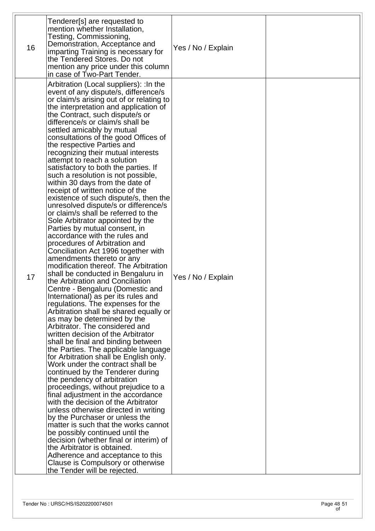| 16 | Tenderer[s] are requested to<br>mention whether Installation,<br>Testing, Commissioning,<br>Demonstration, Acceptance and<br>imparting Training is necessary for<br>the Tendered Stores. Do not<br>mention any price under this column<br>in case of Two-Part Tender.                                                                                                                                                                                                                                                                                                                                                                                                                                                                                                                                                                                                                                                                                                                                                                                                                                                                                                                                                                                                                                                                                                                                                                                                                                                                                                                                                                                                                                                                                                                                                                                                                                                                                                                      | Yes / No / Explain |  |
|----|--------------------------------------------------------------------------------------------------------------------------------------------------------------------------------------------------------------------------------------------------------------------------------------------------------------------------------------------------------------------------------------------------------------------------------------------------------------------------------------------------------------------------------------------------------------------------------------------------------------------------------------------------------------------------------------------------------------------------------------------------------------------------------------------------------------------------------------------------------------------------------------------------------------------------------------------------------------------------------------------------------------------------------------------------------------------------------------------------------------------------------------------------------------------------------------------------------------------------------------------------------------------------------------------------------------------------------------------------------------------------------------------------------------------------------------------------------------------------------------------------------------------------------------------------------------------------------------------------------------------------------------------------------------------------------------------------------------------------------------------------------------------------------------------------------------------------------------------------------------------------------------------------------------------------------------------------------------------------------------------|--------------------|--|
| 17 | Arbitration (Local suppliers): : In the<br>event of any dispute/s, difference/s<br>or claim/s arising out of or relating to<br>the interpretation and application of<br>the Contract, such dispute/s or<br>difference/s or claim/s shall be<br>settled amicably by mutual<br>consultations of the good Offices of<br>the respective Parties and<br>recognizing their mutual interests<br>attempt to reach a solution<br>satisfactory to both the parties. If<br>such a resolution is not possible,<br>within 30 days from the date of<br>receipt of written notice of the<br>existence of such dispute/s, then the<br>unresolved dispute/s or difference/s<br>or claim/s shall be referred to the<br>Sole Arbitrator appointed by the<br>Parties by mutual consent, in<br>accordance with the rules and<br>procedures of Arbitration and<br>Conciliation Act 1996 together with<br>amendments thereto or any<br>modification thereof. The Arbitration<br>shall be conducted in Bengaluru in<br>the Arbitration and Conciliation<br>Centre - Bengaluru (Domestic and<br>International) as per its rules and<br>regulations. The expenses for the<br>Arbitration shall be shared equally or<br>as may be determined by the<br>Arbitrator. The considered and<br>written decision of the Arbitrator<br>shall be final and binding between<br>the Parties. The applicable language<br>for Arbitration shall be English only.<br>Work under the contract shall be<br>continued by the Tenderer during<br>the pendency of arbitration<br>proceedings, without prejudice to a<br>final adjustment in the accordance<br>with the decision of the Arbitrator<br>unless otherwise directed in writing<br>by the Purchaser or unless the<br>matter is such that the works cannot<br>be possibly continued until the<br>decision (whether final or interim) of<br>the Arbitrator is obtained.<br>Adherence and acceptance to this<br>Clause is Compulsory or otherwise<br>the Tender will be rejected. | Yes / No / Explain |  |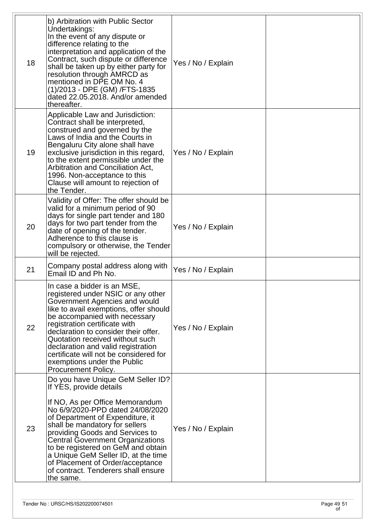| 18 | b) Arbitration with Public Sector<br>Undertakings:<br>In the event of any dispute or<br>difference relating to the<br>interpretation and application of the<br>Contract, such dispute or difference<br>shall be taken up by either party for<br>resolution through AMRCD as<br>mentioned in DPE OM No. 4<br>(1)/2013 - DPE (GM) /FTS-1835<br>dated 22.05.2018. And/or amended<br>thereafter.                                                                 | Yes / No / Explain |  |
|----|--------------------------------------------------------------------------------------------------------------------------------------------------------------------------------------------------------------------------------------------------------------------------------------------------------------------------------------------------------------------------------------------------------------------------------------------------------------|--------------------|--|
| 19 | Applicable Law and Jurisdiction:<br>Contract shall be interpreted,<br>construed and governed by the<br>Laws of India and the Courts in<br>Bengaluru City alone shall have<br>exclusive jurisdiction in this regard,<br>to the extent permissible under the<br>Arbitration and Conciliation Act,<br>1996. Non-acceptance to this<br>Clause will amount to rejection of<br>the Tender.                                                                         | Yes / No / Explain |  |
| 20 | Validity of Offer: The offer should be<br>valid for a minimum period of 90<br>days for single part tender and 180<br>days for two part tender from the<br>date of opening of the tender.<br>Adherence to this clause is<br>compulsory or otherwise, the Tender<br>will be rejected.                                                                                                                                                                          | Yes / No / Explain |  |
| 21 | Company postal address along with<br>Email ID and Ph No.                                                                                                                                                                                                                                                                                                                                                                                                     | Yes / No / Explain |  |
| 22 | In case a bidder is an MSE,<br>registered under NSIC or any other<br>Government Agencies and would<br>like to avail exemptions, offer should<br>be accompanied with necessary<br>registration certificate with<br>declaration to consider their offer.<br>Quotation received without such<br>declaration and valid registration<br>certificate will not be considered for<br>exemptions under the Public<br>Procurement Policy.                              | Yes / No / Explain |  |
| 23 | Do you have Unique GeM Seller ID?<br>If YES, provide details<br>If NO, As per Office Memorandum<br>No 6/9/2020-PPD dated 24/08/2020<br>of Department of Expenditure, it<br>shall be mandatory for sellers<br>providing Goods and Services to<br><b>Central Government Organizations</b><br>to be registered on GeM and obtain<br>a Unique GeM Seller ID, at the time<br>of Placement of Order/acceptance<br>of contract. Tenderers shall ensure<br>the same. | Yes / No / Explain |  |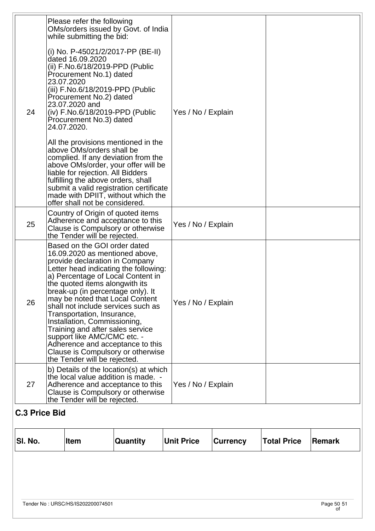| <b>C.3 Price Bid</b><br>SI. No. |                                                                                                                                                                                                                                                                                                                                                                                                                                                                                                                                                                           | Item                                                                                                                                                                                                                                                                          | <b>Quantity</b>                                                                                                                                                                                                                       | <b>Unit Price</b>  | <b>Currency</b> | <b>Total Price</b> | <b>Remark</b> |
|---------------------------------|---------------------------------------------------------------------------------------------------------------------------------------------------------------------------------------------------------------------------------------------------------------------------------------------------------------------------------------------------------------------------------------------------------------------------------------------------------------------------------------------------------------------------------------------------------------------------|-------------------------------------------------------------------------------------------------------------------------------------------------------------------------------------------------------------------------------------------------------------------------------|---------------------------------------------------------------------------------------------------------------------------------------------------------------------------------------------------------------------------------------|--------------------|-----------------|--------------------|---------------|
| 27                              | b) Details of the location(s) at which<br>the local value addition is made. -<br>Adherence and acceptance to this<br>Clause is Compulsory or otherwise<br>the Tender will be rejected.                                                                                                                                                                                                                                                                                                                                                                                    |                                                                                                                                                                                                                                                                               |                                                                                                                                                                                                                                       | Yes / No / Explain |                 |                    |               |
| 26                              | Based on the GOI order dated<br>16.09.2020 as mentioned above,<br>provide declaration in Company<br>Letter head indicating the following:<br>a) Percentage of Local Content in<br>the quoted items along with its<br>break-up (in percentage only). It<br>may be noted that Local Content<br>shall not include services such as<br>Transportation, Insurance,<br>Installation, Commissioning,<br>Training and after sales service<br>support like AMC/CMC etc. -<br>Adherence and acceptance to this<br>Clause is Compulsory or otherwise<br>the Tender will be rejected. |                                                                                                                                                                                                                                                                               |                                                                                                                                                                                                                                       | Yes / No / Explain |                 |                    |               |
| 25                              | Country of Origin of quoted items<br>Adherence and acceptance to this<br>Clause is Compulsory or otherwise<br>the Tender will be rejected.                                                                                                                                                                                                                                                                                                                                                                                                                                |                                                                                                                                                                                                                                                                               |                                                                                                                                                                                                                                       | Yes / No / Explain |                 |                    |               |
| 24                              | 23.07.2020<br>24.07.2020.                                                                                                                                                                                                                                                                                                                                                                                                                                                                                                                                                 | Procurement No.1) dated<br>(iii) F.No.6/18/2019-PPD (Public<br>Procurement No.2) dated<br>23.07.2020 and<br>Procurement No.3) dated<br>above OMs/orders shall be<br>liable for rejection. All Bidders<br>fulfilling the above orders, shall<br>offer shall not be considered. | (iv) F.No.6/18/2019-PPD (Public<br>All the provisions mentioned in the<br>complied. If any deviation from the<br>above OMs/order, your offer will be<br>submit a valid registration certificate<br>made with DPIIT, without which the | Yes / No / Explain |                 |                    |               |
|                                 |                                                                                                                                                                                                                                                                                                                                                                                                                                                                                                                                                                           | Please refer the following<br>OMs/orders issued by Govt. of India<br>while submitting the bid:<br>(i) No. P-45021/2/2017-PP (BE-II)<br>dated 16.09.2020<br>(ii) F.No.6/18/2019-PPD (Public                                                                                    |                                                                                                                                                                                                                                       |                    |                 |                    |               |